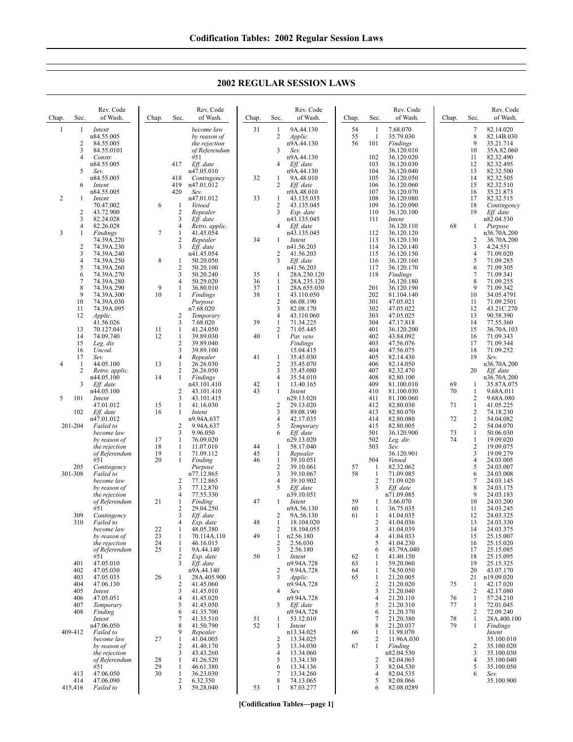| Chap.          | Sec.           | Rev. Code<br>of Wash.          | Chap.    | Sec.                             | Rev. Code<br>of Wash.      | Chap.    | Sec.                    | Rev. Code<br>of Wash.    | Chap.    | Sec.                | Rev. Code<br>of Wash.    | Chap.    | Sec.                | Rev. Code<br>of Wash.     |
|----------------|----------------|--------------------------------|----------|----------------------------------|----------------------------|----------|-------------------------|--------------------------|----------|---------------------|--------------------------|----------|---------------------|---------------------------|
| 1              | 1              | Intent<br>n84.55.005           |          |                                  | become law<br>by reason of | 31       | 1<br>$\overline{c}$     | 9A.44.130<br>Applic.     | 54<br>55 | -1<br>$\mathbf{1}$  | 7.68.070<br>35.79.030    |          | 7<br>8              | 82.14.020<br>82.14B.030   |
|                | $\overline{2}$ | 84.55.005                      |          |                                  | the rejection              |          |                         | n9A.44.130               | 56       | 101                 | Findings                 |          | 9                   | 35.21.714                 |
|                | 3              | 84.55.0101                     |          |                                  | of Referendum              |          | 3                       | Sev.                     |          |                     | 36.120.010               |          | 10                  | 35A.82.060                |
|                | 4              | Constr.                        |          |                                  | #51                        |          |                         | n9A.44.130               |          | 102                 | 36.120.020               |          | 11                  | 82.32.490                 |
|                | 5              | n84.55.005<br>Sev.             |          | 417                              | Eff. date<br>n47.05.010    |          | 4                       | Eff. date<br>n9A.44.130  |          | 103<br>104          | 36.120.030<br>36.120.040 |          | 12<br>13            | 82.32.495<br>82.32.500    |
|                |                | n84.55.005                     |          | 418                              | Contingency                | 32       | 1                       | 9A.48.010                |          | 105                 | 36.120.050               |          | 14                  | 82.32.505                 |
|                | 6              | Intent                         |          | 419                              | n47.01.012                 |          | 2                       | Eff. date                |          | 106                 | 36.120.060               |          | 15                  | 82.32.510                 |
|                |                | n84.55.005                     |          | 420                              | Sev.                       |          |                         | n9A.48.010               |          | 107                 | 36.120.070               |          | 16                  | 35.21.873                 |
| 2              | 1              | Intent                         |          |                                  | n47.01.012                 | 33       | 1                       | 43.135.035               |          | 108                 | 36.120.080               |          | 17                  | 82.32.515                 |
|                |                | 70.47.002                      | 6        | $\mathbf{1}$                     | Vetoed                     |          | 2                       | 43.135.045               |          | 109                 | 36.120.090               |          | 18                  | Contingency               |
|                | 2<br>3         | 43.72.900<br>82.24.028         |          | $\overline{2}$<br>3              | Repealer<br>Eff. date      |          | 3                       | Exp. date<br>n43.135.045 |          | 110<br>111          | 36.120.100<br>Intent     |          | 19                  | Eff. date<br>n82.04.530   |
|                | 4              | 82.26.028                      |          | $\overline{4}$                   | Retro. applic.             |          | 4                       | Eff. date                |          |                     | 36.120.110               | 68       | 1                   | Purpose                   |
| 3              | 1              | Findings                       | $\tau$   | $\mathbf{1}$                     | 41.45.054                  |          |                         | n43.135.045              |          | 112                 | 36.120.120               |          |                     | n36.70A.200               |
|                |                | 74.39A.220                     |          | $\sqrt{2}$                       | Repealer                   | 34       | 1                       | Intent                   |          | 113                 | 36.120.130               |          | 2                   | 36.70A.200                |
|                | $\overline{2}$ | 74.39A.230                     |          | $\overline{3}$                   | Eff. date                  |          |                         | n41.56.203               |          | 114                 | 36.120.140               |          | 3                   | 4.24.551                  |
|                | 3<br>4         | 74.39A.240<br>74.39A.250       | 8        | -1                               | n41.45.054<br>50.20.050    |          | 2<br>3                  | 41.56.203<br>Eff. date   |          | 115<br>116          | 36.120.150<br>36.120.160 |          | $\overline{4}$<br>5 | 71.09.020<br>71.09.285    |
|                | 5              | 74.39A.260                     |          | $\overline{2}$                   | 50.20.100                  |          |                         | n41.56.203               |          | 117                 | 36.120.170               |          | 6                   | 71.09.305                 |
|                | 6              | 74.39A.270                     |          | 3                                | 50.20.240                  | 35       | 1                       | 28A.230.120              |          | 118                 | Findings                 |          | 7                   | 71.09.341                 |
|                | 7              | 74.39A.280                     |          | $\overline{4}$                   | 50.29.020                  | 36       | $\mathbf{1}$            | 28A.235.120              |          |                     | 36.120.180               |          | 8                   | 71.09.255                 |
|                | 8              | 74.39A.290                     | 9        | $\mathbf{1}$                     | 36.80.010                  | 37       | 1                       | 28A.655.030              |          | 201                 | 36.120.190               |          | 9                   | 71.09.342                 |
|                | 9              | 74.39A.300                     | 10       | $\mathbf{1}$                     | Findings                   | 38       | $\mathbf{1}$            | 43.110.050               |          | 202                 | 81.104.140               |          | 10                  | 34.05.4791                |
|                | 10<br>11       | 74.39A.030<br>74.39A.095       |          |                                  | Purpose<br>n7.68.020       |          | $\overline{2}$<br>3     | 66.08.190<br>82.08.170   |          | 301<br>302          | 47.05.021<br>47.05.022   |          | 11<br>12            | 71.09.2501<br>43.21C.270  |
|                | 12             | <i>Applic.</i>                 |          | $\overline{2}$                   | Temporary                  |          | 4                       | 43.110.060               |          | 303                 | 47.05.025                |          | 13                  | 90.58.390                 |
|                |                | 41.56.026                      |          | 3                                | 7.68.020                   | 39       | $\mathbf{1}$            | 71.34.225                |          | 304                 | 47.17.818                |          | 14                  | 77.55.360                 |
|                | 13             | 70.127.041                     | 11       | $\mathbf{1}$                     | 41.24.050                  |          | $\overline{c}$          | 71.05.445                |          | 401                 | 36.120.200               |          | 15                  | 36.70A.103                |
|                | 14             | 74.09.740                      | 12       | $\mathbf{1}$                     | 39.89.030                  | 40       | $\mathbf{1}$            | Par. veto                |          | 402                 | 43.84.092                |          | 16                  | 71.09.343                 |
|                | 15<br>16       | Leg. dir.<br>Uncod.            |          | $\overline{2}$<br>3              | 39.89.040<br>39.89.100     |          |                         | Findings<br>15.04.415    |          | 403<br>404          | 47.56.076<br>47.56.075   |          | 17<br>18            | 71.09.344<br>71.09.252    |
|                | 17             | Sev.                           |          | $\overline{4}$                   | Repealer                   | 41       | 1                       | 35.45.030                |          | 405                 | 82.14.430                |          | 19                  | Sev.                      |
| $\overline{4}$ | 1              | 44.05.100                      | 13       | $\mathbf{1}$                     | 26.26.030                  |          | 2                       | 35.45.070                |          | 406                 | 82.14.050                |          |                     | n36.70A.200               |
|                | 2              | Retro. applic.                 |          | $\overline{c}$                   | 26.26.050                  |          | 3                       | 35.45.080                |          | 407                 | 82.32.470                |          | 20                  | Eff. date                 |
|                |                | n44.05.100                     | 14       | $\mathbf{1}$                     | Findings                   |          | 4                       | 35.54.010                |          | 408                 | 82.80.100                |          |                     | n36.70A.200               |
|                | 3              | Eff. date<br>n44.05.100        |          | $\overline{2}$                   | n43.101.410<br>43.101.410  | 42<br>43 | 1<br>1                  | 13.40.165<br>Intent      |          | 409<br>410          | 81.100.010<br>81.100.030 | 69<br>70 | 1<br>1              | 35.87A.075<br>9.68A.011   |
| 5              | 101            | Intent                         |          | $\overline{3}$                   | 43.101.415                 |          |                         | n29.13.020               |          | 411                 | 81.100.060               |          | 2                   | 9.68A.080                 |
|                |                | 47.01.012                      | 15       | $\mathbf{1}$                     | 41.16.030                  |          | 2                       | 29.13.020                |          | 412                 | 82.80.030                | 71       | $\mathbf{1}$        | 41.05.225                 |
|                | 102            | Eff. date                      | 16       | -1                               | Intent                     |          | 3                       | 89.08.190                |          | 413                 | 82.80.070                |          | 2                   | 74.18.230                 |
|                |                | n47.01.012                     |          |                                  | n9.94A.637                 |          | $\overline{4}$          | 42.17.035                |          | 414                 | 82.80.080                | 72       | $\mathbf{1}$        | 54.04.082                 |
|                | 201-204        | Failed to<br>become law        |          | $\overline{c}$<br>3              | 9.94A.637<br>9.96.050      |          | 5<br>6                  | Temporary<br>Eff. date   |          | 415<br>501          | 82.80.005<br>36.120.900  | 73       | 2<br>$\mathbf{1}$   | 54.04.070<br>50.06.030    |
|                |                | by reason of                   | 17       | $\mathbf{1}$                     | 76.09.020                  |          |                         | n29.13.020               |          | 502                 | Leg. dir.                | 74       | 1                   | 19.09.020                 |
|                |                | the rejection                  | 18       | $\mathbf{1}$                     | 11.07.010                  | 44       | 1                       | 58.17.040                |          | 503                 | Sev.                     |          | $\sqrt{2}$          | 19.09.075                 |
|                |                | of Referendum                  | 19       | $\mathbf{1}$                     | 71.09.112                  | 45       | 1                       | Repealer                 |          |                     | 36.120.901               |          | $\mathfrak{Z}$      | 19.09.279                 |
|                |                | #51                            | 20       | $\mathbf{1}$                     | Finding                    | 46       | 1<br>$\overline{c}$     | 39.10.051                |          | 504                 | Vetoed                   |          | $\overline{4}$<br>5 | 24.03.005<br>24.03.007    |
|                | 205<br>301-308 | Contingency<br>Failed to       |          |                                  | Purpose<br>n77.12.865      |          | 3                       | 39.10.061<br>39.10.067   | 57<br>58 | -1<br>1             | 82.32.062<br>71.09.085   |          | 6                   | 24.03.008                 |
|                |                | become law                     |          | $\overline{2}$                   | 77.12.865                  |          | $\overline{\mathbf{4}}$ | 39.10.902                |          | $\overline{2}$      | 71.09.020                |          | 7                   | 24.03.145                 |
|                |                | by reason of                   |          | 3                                | 77.12.870                  |          | 5                       | Eff. date                |          | 3                   | Eff. date                |          | 8                   | 24.03.175                 |
|                |                | the rejection                  |          | $\overline{4}$                   | 77.55.330                  |          |                         | n39.10.051               |          |                     | n71.09.085               |          | 9                   | 24.03.183                 |
|                |                | of Referendum<br>#51           | 21       | -1<br>$\overline{2}$             | Finding<br>29.04.250       | 47       | 1                       | Intent<br>n9A.56.130     | 59<br>60 | 1<br>1              | 3.66.070<br>36.75.035    |          | 10<br>11            | 24.03.200<br>24.03.245    |
|                | 309            | Contingency                    |          | 3                                | Eff. date                  |          | 2                       | 9A.56.130                | 61       | 1                   | 41.04.035                |          | 12                  | 24.03.325                 |
|                | 310            | Failed to                      |          | $\overline{4}$                   | Exp. date                  | 48       | 1                       | 18.104.020               |          | 2                   | 41.04.036                |          | 13                  | 24.03.330                 |
|                |                | become law                     | 22       | $\mathbf{1}$                     | 48.05.380                  |          | 2                       | 18.104.055               |          | 3                   | 41.04.039                |          | 14                  | 24.03.375                 |
|                |                | by reason of                   | 23       | $\mathbf{1}$                     | 70.114A.110                | 49       | $\mathbf{1}$            | n2.56.180                |          | 4                   | 41.04.033                |          | 15                  | 25.15.007                 |
|                |                | the rejection<br>of Referendum | 24<br>25 | $\mathbf{1}$<br>$\mathbf{1}$     | 46.16.015<br>9A.44.140     |          | $\overline{c}$<br>3     | 2.56.030<br>2.56.180     |          | 5<br>6              | 41.04.230<br>43.79A.040  |          | 16<br>17            | 25.15.020<br>25.15.085    |
|                |                | #51                            |          | $\overline{2}$                   | Exp. date                  | 50       | $\mathbf{1}$            | Intent                   | 62       | 1                   | 41.40.150                |          | 18                  | 25.15.095                 |
|                | 401            | 47.05.010                      |          | 3                                | Eff. date                  |          |                         | n9.94A.728               | 63       | 1                   | 59.20.060                |          | 19                  | 25.15.325                 |
|                | 402            | 47.05.030                      |          |                                  | n9A.44.140                 |          | 2                       | 9.94A.728                | 64       | 1                   | 74.50.050                |          | 20                  | 43.07.170                 |
|                | 403            | 47.05.035                      | 26       | 1                                | 28A.405.900                |          | 3                       | Applic.                  | 65       | 1                   | 21.20.005                |          | 21                  | n19.09.020                |
|                | 404<br>405     | 47.06.130<br>Intent            |          | $\overline{2}$<br>$\mathfrak{Z}$ | 41.45.060<br>41.45.010     |          | 4                       | n9.94A.728<br>Sev.       |          | $\overline{c}$<br>3 | 21.20.020<br>21.20.040   | 75       | 1<br>2              | 42.17.020<br>42.17.080    |
|                | 406            | 47.05.051                      |          | $\overline{4}$                   | 41.45.020                  |          |                         | n9.94A.728               |          | 4                   | 21.20.110                | 76       | $\mathbf{1}$        | 57.24.210                 |
|                | 407            | Temporary                      |          | 5                                | 41.45.050                  |          | 5                       | Eff. date                |          | 5                   | 21.20.310                | 77       | $\mathbf{1}$        | 72.01.045                 |
|                | 408            | Finding                        |          | 6                                | 41.35.700                  |          |                         | n9.94A.728               |          | 6                   | 21.20.370                |          | 2                   | 72.09.240                 |
|                |                | Intent                         |          | $\overline{7}$                   | 41.35.510                  | 51       | 1                       | 53.12.010                |          | 7                   | 21.20.380                | 78       | $\mathbf{1}$        | 28A.400.100               |
|                | 409-412        | n47.06.050<br>Failed to        |          | 8<br>9                           | 41.50.790<br>Repealer      | 52       | 1                       | Intent<br>n13.34.025     | 66       | 8<br>1              | 21.20.037<br>11.98.070   | 79       | 1                   | <b>Findings</b><br>Intent |
|                |                | become law                     | 27       | $\mathbf{1}$                     | 41.04.005                  |          | 2                       | 13.34.025                |          | 2                   | 11.96A.030               |          |                     | 35.100.010                |
|                |                | by reason of                   |          | $\sqrt{2}$                       | 41.40.170                  |          | 3                       | 13.34.030                | 67       | $\mathbf{1}$        | Finding                  |          | $\overline{c}$      | 35.100.020                |
|                |                | the rejection                  |          | $\mathfrak{Z}$                   | 43.43.260                  |          | 4                       | 13.34.060                |          |                     | n82.04.530               |          | $\mathfrak{Z}$      | 35.100.030                |
|                |                | of Referendum                  | 28       | $\mathbf{1}$                     | 41.26.520                  |          | 5                       | 13.34.130                |          | $\overline{c}$      | 82.04.065                |          | $\overline{4}$      | 35.100.040                |
|                | 413            | #51<br>47.06.050               | 29<br>30 | $\mathbf{1}$<br>$\mathbf{1}$     | 46.61.380<br>36.23.030     |          | 6<br>$\overline{7}$     | 13.34.136<br>13.34.260   |          | 3<br>4              | 82.04.530<br>82.04.535   |          | 5<br>6              | 35.100.050<br>Sev.        |
|                | 414            | 47.06.090                      |          | $\overline{c}$                   | 6.32.350                   |          | 8                       | 74.13.065                |          | 5                   | 82.08.066                |          |                     | 35.100.900                |
|                | 415,416        | Failed to                      |          | 3                                | 59.28.040                  | 53       | 1                       | 87.03.277                |          | 6                   | 82.08.0289               |          |                     |                           |
|                |                |                                |          |                                  |                            |          |                         |                          |          |                     |                          |          |                     |                           |

## **2002 REGULAR SESSION LAWS**

**[Codification Tables—page 1]**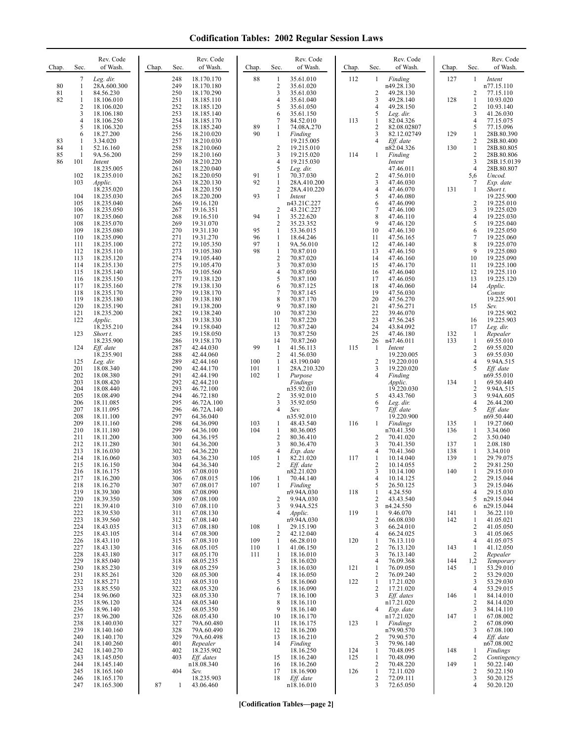| Chap.    | Sec.                    | Rev. Code<br>of Wash.    | Chap. | Rev. Code<br>Sec.<br>of Wash.          | Chap.      | Sec.                             | Rev. Code<br>of Wash.      | Chap. | Sec.                           | Rev. Code<br>of Wash.      | Chap. | Sec.                           | Rev. Code<br>of Wash.     |
|----------|-------------------------|--------------------------|-------|----------------------------------------|------------|----------------------------------|----------------------------|-------|--------------------------------|----------------------------|-------|--------------------------------|---------------------------|
|          | 7                       | Leg. dir.                |       | 248<br>18.170.170                      | 88         | 1                                | 35.61.010                  | 112   | 1                              | Finding                    | 127   | 1                              | Intent                    |
| 80       | $\mathbf{1}$            | 28A.600.300              |       | 249<br>18.170.180<br>250               |            | 2<br>3                           | 35.61.020                  |       |                                | n49.28.130                 |       |                                | n77.15.110                |
| 81<br>82 | 1<br>1                  | 84.56.230<br>18.106.010  |       | 18.170.290<br>251<br>18.185.110        |            | 4                                | 35.61.030<br>35.61.040     |       | $\overline{2}$<br>3            | 49.28.130<br>49.28.140     | 128   | $\overline{c}$<br>1            | 77.15.110<br>10.93.020    |
|          | $\overline{\mathbf{c}}$ | 18.106.020               |       | 252<br>18.185.120                      |            | 5                                | 35.61.050                  |       | $\overline{4}$                 | 49.28.150                  |       | $\overline{\mathbf{c}}$        | 10.93.140                 |
|          | 3<br>4                  | 18.106.180<br>18.106.250 |       | 253<br>18.185.140<br>254<br>18.185.170 |            | 6<br>7                           | 35.61.150<br>84.52.010     | 113   | 5<br>1                         | Leg. dir.<br>82.04.326     |       | 3<br>$\overline{4}$            | 41.26.030<br>77.15.075    |
|          | 5                       | 18.106.320               |       | 255<br>18.185.240                      | 89         | 1                                | 74.08A.270                 |       | $\overline{2}$                 | 82.08.02807                |       | 5                              | 77.15.096                 |
| 83       | 6<br>1                  | 18.27.200<br>3.34.020    |       | 256<br>18.210.020<br>257<br>18.210.030 | 90         | 1                                | Finding<br>19.215.005      |       | 3<br>4                         | 82.12.02749<br>$Eff.$ date | 129   | 1<br>$\overline{2}$            | 28B.80.390<br>28B.80.400  |
| 84       | 1                       | 52.16.160                |       | 258<br>18.210.060                      |            | $\overline{c}$                   | 19.215.010                 |       |                                | n82.04.326                 | 130   | $\mathbf{1}$                   | 28B.80.805                |
| 85       | $\mathbf{1}$            | 9A.56.200                |       | 259<br>18.210.160                      |            | 3                                | 19.215.020                 | 114   | 1                              | Finding                    |       | $\overline{2}$                 | 28B.80.806                |
| 86       | 101                     | Intent<br>18.235.005     |       | 18.210.220<br>260<br>261<br>18.220.040 |            | 4<br>5                           | 19.215.030<br>Leg. dir.    |       |                                | Intent<br>47.46.011        |       | 3<br>$\overline{4}$            | 28B.15.0139<br>28B.80.807 |
|          | 102                     | 18.235.010               |       | 262<br>18.220.050                      | 91         | 1                                | 70.37.030                  |       | $\overline{2}$                 | 47.56.010                  |       | 5,6                            | Uncod.                    |
|          | 103                     | Applic.<br>18.235.020    |       | 263<br>18.220.130<br>264<br>18.220.150 | 92         | $\mathbf{1}$<br>2                | 28A.410.200<br>28A.410.220 |       | 3<br>4                         | 47.46.030<br>47.46.070     | 131   | 7<br>1                         | Exp. date<br>Short t.     |
|          | 104                     | 18.235.030               |       | 18.220.200<br>265                      | 93         | $\mathbf{1}$                     | Intent                     |       | 5                              | 47.46.080                  |       |                                | 19.225.900                |
|          | 105<br>106              | 18.235.040<br>18.235.050 |       | 266<br>19.16.120<br>267<br>19.16.351   |            | 2                                | n43.21C.227<br>43.21C.227  |       | 6<br>7                         | 47.46.090<br>47.46.100     |       | $\overline{\mathbf{c}}$<br>3   | 19.225.010<br>19.225.020  |
|          | 107                     | 18.235.060               |       | 268<br>19.16.510                       | 94         | 1                                | 35.22.620                  |       | 8                              | 47.46.110                  |       | $\overline{4}$                 | 19.225.030                |
|          | 108                     | 18.235.070               |       | 269<br>19.31.070                       |            | 2                                | 35.23.352                  |       | 9                              | 47.46.120                  |       | 5                              | 19.225.040                |
|          | 109<br>110              | 18.235.080<br>18.235.090 |       | 270<br>19.31.130<br>271<br>19.31.270   | 95<br>96   | 1<br>1                           | 53.36.015<br>18.64.246     |       | 10<br>11                       | 47.46.130<br>47.56.165     |       | 6<br>7                         | 19.225.050<br>19.225.060  |
|          | 111                     | 18.235.100               |       | 272<br>19.105.350                      | 97         | 1                                | 9A.56.010                  |       | 12                             | 47.46.140                  |       | 8                              | 19.225.070                |
|          | 112<br>113              | 18.235.110<br>18.235.120 |       | 273<br>19.105.380<br>274<br>19.105.440 | 98         | 1<br>$\sqrt{2}$                  | 70.87.010<br>70.87.020     |       | 13<br>14                       | 47.46.150<br>47.46.160     |       | 9<br>10                        | 19.225.080<br>19.225.090  |
|          | 114                     | 18.235.130               |       | 275<br>19.105.470                      |            | 3                                | 70.87.030                  |       | 15                             | 47.46.170                  |       | 11                             | 19.225.100                |
|          | 115                     | 18.235.140<br>18.235.150 |       | 276<br>19.105.560<br>277               |            | 4<br>5                           | 70.87.050                  |       | 16<br>17                       | 47.46.040                  |       | 12<br>13                       | 19.225.110<br>19.225.120  |
|          | 116<br>117              | 18.235.160               |       | 19.138.120<br>278<br>19.138.130        |            | 6                                | 70.87.100<br>70.87.125     |       | 18                             | 47.46.050<br>47.46.060     |       | 14                             | Applic.                   |
|          | 118                     | 18.235.170               |       | 279<br>19.138.170                      |            | 7                                | 70.87.145                  |       | 19                             | 47.56.030                  |       |                                | Constr.                   |
|          | 119<br>120              | 18.235.180<br>18.235.190 |       | 280<br>19.138.180<br>281<br>19.138.200 |            | 8<br>9                           | 70.87.170<br>70.87.180     |       | 20<br>21                       | 47.56.270<br>47.56.271     |       | 15                             | 19.225.901<br>Sev.        |
|          | 121                     | 18.235.200               |       | 282<br>19.138.240                      |            | 10                               | 70.87.230                  |       | 22                             | 39.46.070                  |       |                                | 19.225.902                |
|          | 122                     | Applic.<br>18.235.210    |       | 283<br>19.138.330<br>284<br>19.158.040 |            | 11<br>12                         | 70.87.220<br>70.87.240     |       | 23<br>24                       | 47.56.245<br>43.84.092     |       | 16<br>17                       | 19.225.903<br>Leg. dir.   |
|          | 123                     | Short t.                 |       | 285<br>19.158.050                      |            | 13                               | 70.87.250                  |       | 25                             | 47.46.180                  | 132   | 1                              | Repealer                  |
|          |                         | 18.235.900               |       | 286<br>19.158.170<br>287               | 99         | 14<br>-1                         | 70.87.260<br>41.56.113     | 115   | 26<br>-1                       | n47.46.011                 | 133   | 1<br>$\overline{2}$            | 69.55.010                 |
|          | 124                     | Eff. date<br>18.235.901  |       | 42.44.030<br>288<br>42.44.060          |            | $\overline{c}$                   | 41.56.030                  |       |                                | Intent<br>19.220.005       |       | 3                              | 69.55.020<br>69.55.030    |
|          | 125                     | Leg. dir.                |       | 289<br>42.44.160                       | 100        | $\mathbf{1}$                     | 43.190.040                 |       | $\overline{2}$                 | 19.220.010                 |       | 4                              | 9.94A.515                 |
|          | 201<br>202              | 18.08.340<br>18.08.380   |       | 290<br>42.44.170<br>291<br>42.44.190   | 101<br>102 | $\mathbf{1}$<br>1                | 28A.210.320<br>Purpose     |       | 3                              | 19.220.020<br>Finding      |       | 5                              | Eff. date<br>n69.55.010   |
|          | 203                     | 18.08.420                |       | 292<br>42.44.210                       |            |                                  | Findings                   |       |                                | Applic.                    | 134   | 1                              | 69.50.440                 |
|          | 204<br>205              | 18.08.440<br>18.08.490   |       | 293<br>46.72.100<br>294<br>46.72.180   |            | 2                                | n35.92.010<br>35.92.010    |       | 5                              | 19.220.030<br>43.43.760    |       | $\overline{2}$<br>3            | 9.94A.515<br>9.94A.605    |
|          | 206                     | 18.11.085                |       | 295<br>46.72A.100                      |            | 3                                | 35.92.050                  |       | 6                              | Leg. dir.                  |       | 4                              | 26.44.200                 |
|          | 207<br>208              | 18.11.095<br>18.11.100   |       | 296<br>46.72A.140<br>297<br>64.36.040  |            | 4                                | Sev.                       |       | 7                              | $Eff$ . date<br>19.220.900 |       | 5                              | Eff. date<br>n69.50.440   |
|          | 209                     | 18.11.160                |       | 298<br>64.36.090                       | 103        | 1                                | n35.92.010<br>48.43.540    | 116   | 1                              | Findings                   | 135   | 1                              | 19.27.060                 |
|          | 210                     | 18.11.180                |       | 299<br>64.36.100                       | 104        | $\mathbf{1}$                     | 80.36.005                  |       |                                | n70.41.350                 | 136   | 1                              | 3.34.060                  |
|          | 211<br>212              | 18.11.200<br>18.11.280   |       | 300<br>64.36.195<br>301<br>64.36.200   |            | 2<br>3                           | 80.36.410<br>80.36.470     |       | $\overline{2}$<br>3            | 70.41.020<br>70.41.350     | 137   | 2<br>$\mathbf{1}$              | 3.50.040<br>2.08.180      |
|          | 213                     | 18.16.030                |       | 302<br>64.36.220                       |            | 4                                | Exp. date                  |       | 4                              | 70.41.360                  | 138   | 1                              | 3.34.010                  |
|          | 214<br>215              | 18.16.060<br>18.16.150   |       | 303<br>64.36.230<br>304<br>64.36.340   | 105        | 1<br>$\mathcal{D}_{\mathcal{A}}$ | 82.21.020<br>Eff. date     | 117   | 1<br>2                         | 10.14.040<br>10.14.055     | 139   | 1<br>2                         | 29.79.075<br>29.81.250    |
|          | 216                     | 18.16.175                |       | 305<br>67.08.010                       |            |                                  | n82.21.020                 |       | 3                              | 10.14.100                  | 140   | $\mathbf{1}$                   | 29.15.010                 |
|          | 217<br>218              | 18.16.200<br>18.16.270   |       | 306<br>67.08.015<br>307<br>67.08.017   | 106<br>107 | 1<br>1                           | 70.44.140<br>Finding       |       | 4<br>5                         | 10.14.125<br>26.50.125     |       | 2<br>3                         | 29.15.044<br>29.15.046    |
|          | 219                     | 18.39.300                |       | 308<br>67.08.090                       |            |                                  | n9.94A.030                 | 118   | 1                              | 4.24.550                   |       | $\overline{4}$                 | 29.15.030                 |
|          | 220<br>221              | 18.39.350<br>18.39.410   |       | 309<br>67.08.100<br>310<br>67.08.110   |            | 2<br>3                           | 9.94A.030<br>9.94A.525     |       | 2<br>3                         | 43.43.540<br>n4.24.550     |       | 5<br>6                         | n29.15.044<br>n29.15.044  |
|          | 222                     | 18.39.530                |       | 67.08.130<br>311                       |            | 4                                | Applic.                    | 119   | -1                             | 9.46.070                   | 141   | 1                              | 36.22.110                 |
|          | 223<br>224              | 18.39.560<br>18.43.035   |       | 312<br>67.08.140<br>313<br>67.08.180   | 108        | 1                                | n9.94A.030<br>29.15.190    |       | $\overline{2}$<br>3            | 66.08.030<br>66.24.010     | 142   | $\mathbf{1}$<br>$\overline{2}$ | 41.05.021<br>41.05.050    |
|          | 225                     | 18.43.105                |       | 314<br>67.08.300                       |            | 2                                | 42.12.040                  |       | $\overline{4}$                 | 66.24.025                  |       | 3                              | 41.05.065                 |
|          | 226                     | 18.43.110                |       | 315<br>67.08.310                       | 109        | 1                                | 66.28.010                  | 120   | -1                             | 76.13.110                  |       | 4                              | 41.05.075                 |
|          | 227<br>228              | 18.43.130<br>18.43.180   |       | 68.05.105<br>316<br>317<br>68.05.170   | 110<br>111 | $\mathbf{1}$<br>$\mathbf{1}$     | 41.06.150<br>18.16.010     |       | $\overline{2}$<br>3            | 76.13.120<br>76.13.140     | 143   | $\mathbf{1}$<br>$\overline{c}$ | 41.12.050<br>Repealer     |
|          | 229                     | 18.85.040                |       | 318<br>68.05.235                       |            | $\overline{\mathbf{c}}$          | 18.16.020                  |       | $\overline{4}$                 | 76.09.368                  | 144   | 1,2                            | Temporary                 |
|          | 230<br>231              | 18.85.230<br>18.85.261   |       | 319<br>68.05.259<br>320<br>68.05.300   |            | 3<br>$\overline{4}$              | 18.16.030<br>18.16.050     | 121   | -1<br>$\overline{2}$           | 76.09.050<br>76.09.240     | 145   | -1<br>2                        | 53.29.010<br>53.29.020    |
|          | 232                     | 18.85.271                |       | 321<br>68.05.310                       |            | 5                                | 18.16.060                  | 122   | $\mathbf{1}$                   | 17.21.020                  |       | 3                              | 53.29.030                 |
|          | 233                     | 18.85.550                |       | 322<br>68.05.320                       |            | 6                                | 18.16.090                  |       | 2<br>3                         | 17.21.020                  |       | 4                              | 53.29.015                 |
|          | 234<br>235              | 18.96.060<br>18.96.120   |       | 323<br>68.05.330<br>324<br>68.05.340   |            | 7<br>8                           | 18.16.100<br>18.16.110     |       |                                | Eff. dates<br>n17.21.020   | 146   | $\mathbf{1}$<br>2              | 84.14.010<br>84.14.020    |
|          | 236                     | 18.96.140                |       | 325<br>68.05.350                       |            | 9                                | 18.16.140                  |       | 4                              | Exp. date                  |       | 3                              | 84.14.110                 |
|          | 237<br>238              | 18.96.200<br>18.140.030  |       | 326<br>68.05.430<br>327<br>79A.60.480  |            | 10<br>11                         | 18.16.170<br>18.16.175     | 123   | 1                              | n17.21.020<br>Findings     | 147   | 1<br>2                         | 67.08.002<br>67.08.090    |
|          | 239                     | 18.140.160               |       | 328<br>79A.60.490                      |            | 12                               | 18.16.200                  |       |                                | n79.90.570                 |       | 3                              | 67.08.100                 |
|          | 240<br>241              | 18.140.170<br>18.140.260 |       | 329<br>79A.60.498<br>401<br>Repealer   |            | 13<br>14                         | 18.16.210<br>Finding       |       | 2<br>3                         | 79.90.570<br>79.96.140     |       | $\overline{4}$                 | Eff. date<br>n67.08.002   |
|          | 242                     | 18.140.270               |       | 402<br>18.235.902                      |            |                                  | 18.16.250                  | 124   | -1                             | 70.48.095                  | 148   | 1                              | Findings                  |
|          | 243                     | 18.145.050<br>18.145.140 |       | 403<br>Eff. dates                      |            | 15                               | 18.16.240                  | 125   | $\mathbf{1}$<br>$\overline{2}$ | 70.48.090                  | 149   | 2<br>$\mathbf{1}$              | Contingency               |
|          | 244<br>245              | 18.165.160               |       | n18.08.340<br>404<br>Sev.              |            | 16<br>17                         | 18.16.260<br>18.16.900     | 126   | $\mathbf{1}$                   | 70.48.220<br>72.11.020     |       | $\sqrt{2}$                     | 50.22.140<br>50.22.150    |
|          | 246                     | 18.165.170               |       | 18.235.903                             |            | 18                               | Eff. date                  |       | 2                              | 72.09.111                  |       | 3                              | 50.20.125                 |
|          | 247                     | 18.165.300               | 87    | 43.06.460<br>$\mathbf{1}$              |            |                                  | n18.16.010                 |       | 3                              | 72.65.050                  |       | 4                              | 50.20.120                 |

**[Codification Tables—page 2]**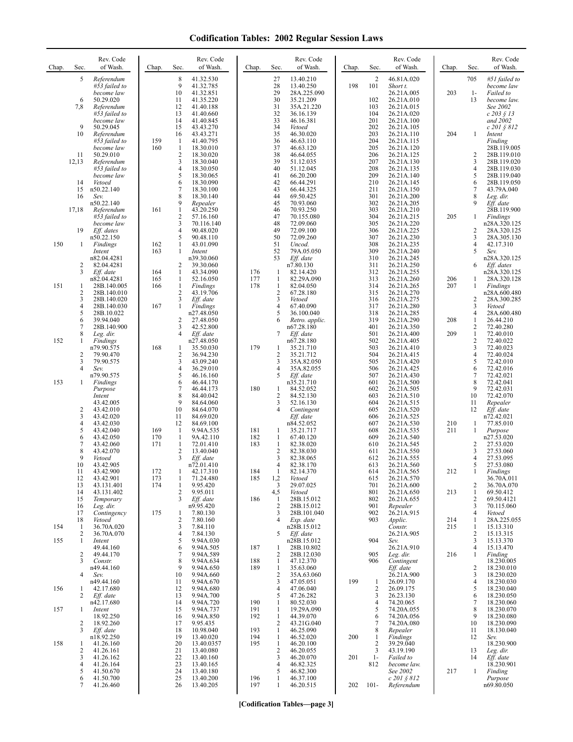| Chap. | Sec.                | Rev. Code<br>of Wash.         | Chap.      | Sec.                         | Rev. Code<br>of Wash.   | Chap.      | Sec.                | Rev. Code<br>of Wash.     | Chap. | Sec.                | Rev. Code<br>of Wash.    | Chap. | Sec.              | Rev. Code<br>of Wash.      |
|-------|---------------------|-------------------------------|------------|------------------------------|-------------------------|------------|---------------------|---------------------------|-------|---------------------|--------------------------|-------|-------------------|----------------------------|
|       | 5                   | Referendum                    |            | 8                            | 41.32.530               |            | 27                  | 13.40.210                 |       | $\overline{2}$      | 46.81A.020               |       | 705               | #51 failed to              |
|       |                     | #53 failed to<br>become law   |            | 9<br>10                      | 41.32.785<br>41.32.851  |            | 28<br>29            | 13.40.250<br>28A.225.090  | 198   | 101                 | Short t.<br>26.21A.005   | 203   | $1-$              | become law<br>Failed to    |
|       | 6                   | 50.29.020                     |            | 11                           | 41.35.220               |            | 30                  | 35.21.209                 |       | 102                 | 26.21A.010               |       | 13                | become law.                |
|       | 7,8                 | Referendum<br>#53 failed to   |            | 12<br>13                     | 41.40.188<br>41.40.660  |            | 31<br>32            | 35A.21.220<br>36.16.139   |       | 103<br>104          | 26.21A.015<br>26.21A.020 |       |                   | See 2002<br>c 203 § 13     |
|       |                     | become law                    |            | 14                           | 41.40.845               |            | 33                  | 46.16.381                 |       | 201                 | 26.21A.100               |       |                   | and 2002                   |
|       | 9<br>10             | 50.29.045<br>Referendum       |            | 15<br>16                     | 43.43.270<br>43.43.271  |            | 34<br>35            | Vetoed<br>46.30.020       |       | 202<br>203          | 26.21A.105<br>26.21A.110 | 204   | 1                 | c 201 § 812<br>Intent      |
|       |                     | #53 failed to                 | 159        | 1                            | 41.40.795               |            | 36                  | 46.63.110                 |       | 204                 | 26.21A.115               |       |                   | Finding                    |
|       |                     | become law                    | 160        | $\mathbf{1}$                 | 18.30.010               |            | 37                  | 46.63.120                 |       | 205                 | 26.21A.120               |       |                   | 28B.119.005                |
|       | 11<br>12,13         | 50.29.010<br>Referendum       |            | $\overline{\mathbf{c}}$<br>3 | 18.30.020<br>18.30.040  |            | 38<br>39            | 46.64.055<br>51.12.035    |       | 206<br>207          | 26.21A.125<br>26.21A.130 |       | 2<br>3            | 28B.119.010<br>28B.119.020 |
|       |                     | #53 failed to                 |            | 4                            | 18.30.050               |            | 40                  | 51.12.045                 |       | 208                 | 26.21A.135               |       | 4                 | 28B.119.030                |
|       | 14                  | become law<br>Vetoed          |            | 5<br>6                       | 18.30.065<br>18.30.090  |            | 41<br>42            | 66.20.200<br>66.44.291    |       | 209<br>210          | 26.21A.140<br>26.21A.145 |       | 5<br>6            | 28B.119.040<br>28B.119.050 |
|       | 15                  | n50.22.140                    |            | $\overline{7}$               | 18.30.100               |            | 43                  | 66.44.325                 |       | 211                 | 26.21A.150               |       | 7                 | 43.79A.040                 |
|       | 16                  | Sev.<br>n50.22.140            |            | 8<br>9                       | 18.30.140<br>Repealer   |            | 44<br>45            | 69.50.425<br>70.93.060    |       | 301<br>302          | 26.21A.200<br>26.21A.205 |       | 8<br>9            | Leg. dir.<br>Eff. date     |
|       | 17,18               | Referendum                    | 161        | $\mathbf{1}$                 | 43.20.250               |            | 46                  | 70.93.250                 |       | 303                 | 26.21A.210               |       |                   | 28B.119.900                |
|       |                     | #53 failed to<br>become law   |            | 2<br>3                       | 57.16.160<br>70.116.140 |            | 47<br>48            | 70.155.080<br>72.09.060   |       | 304<br>305          | 26.21A.215<br>26.21A.220 | 205   | 1                 | Findings<br>n28A.320.125   |
|       | 19                  | Eff. dates                    |            | 4                            | 90.48.020               |            | 49                  | 72.09.100                 |       | 306                 | 26.21A.225               |       | 2                 | 28A.320.125                |
| 150   | 1                   | n50.22.150<br><b>Findings</b> | 162        | 5<br>1                       | 90.48.110<br>43.01.090  |            | 50<br>51            | 72.09.260<br>Uncod.       |       | 307<br>308          | 26.21A.230<br>26.21A.235 |       | 3<br>4            | 28A.305.130<br>42.17.310   |
|       |                     | Intent                        | 163        | 1                            | Intent                  |            | 52                  | 79A.05.050                |       | 309                 | 26.21A.240               |       | 5                 | Sev.                       |
|       | $\overline{2}$      | n82.04.4281<br>82.04.4281     |            | 2                            | n39.30.060<br>39.30.060 |            | 53                  | Eff. date<br>n7.80.130    |       | 310<br>311          | 26.21A.245<br>26.21A.250 |       | 6                 | n28A.320.125               |
|       | 3                   | Eff. date                     | 164        | 1                            | 43.34.090               | 176        | 1                   | 82.14.420                 |       | 312                 | 26.21A.255               |       |                   | Eff. dates<br>n28A.320.125 |
|       |                     | n82.04.4281                   | 165        | 1                            | 52.16.050               | 177        | 1                   | 82.29A.090                |       | 313                 | 26.21A.260               | 206   | 1                 | 28A.320.128                |
| 151   | 1<br>$\overline{2}$ | 28B.140.005<br>28B.140.010    | 166        | $\mathbf{1}$<br>2            | Findings<br>43.19.706   | 178        | $\mathbf{1}$<br>2   | 82.04.050<br>67.28.180    |       | 314<br>315          | 26.21A.265<br>26.21A.270 | 207   | 1                 | Findings<br>n28A.600.480   |
|       | 3                   | 28B.140.020                   |            | 3                            | Eff. date               |            | 3                   | Vetoed                    |       | 316                 | 26.21A.275               |       | 2                 | 28A.300.285                |
|       | 4<br>5              | 28B.140.030<br>28B.10.022     | 167        | 1                            | Findings<br>n27.48.050  |            | 4<br>5              | 67.40.090<br>36.100.040   |       | 317<br>318          | 26.21A.280<br>26.21A.285 |       | 3<br>4            | Vetoed<br>28A.600.480      |
|       | 6                   | 39.94.040                     |            | $\overline{\mathbf{c}}$      | 27.48.050               |            | 6                   | Retro. applic.            |       | 319                 | 26.21A.290               | 208   | 1                 | 26.44.210                  |
|       | 7<br>8              | 28B.140.900<br>Leg. dir.      |            | 3<br>4                       | 42.52.800<br>Eff. date  |            | 7                   | n67.28.180<br>Eff. date   |       | 401<br>501          | 26.21A.350<br>26.21A.400 | 209   | 2<br>1            | 72.40.280<br>72.40.010     |
| 152   | 1                   | Findings                      |            |                              | n27.48.050              |            |                     | n67.28.180                |       | 502                 | 26.21A.405               |       | 2                 | 72.40.022                  |
|       | $\overline{2}$      | n79.90.575<br>79.90.470       | 168        | 1<br>2                       | 35.50.030<br>36.94.230  | 179        | 1<br>$\overline{2}$ | 35.21.710<br>35.21.712    |       | 503<br>504          | 26.21A.410<br>26.21A.415 |       | 3<br>4            | 72.40.023<br>72.40.024     |
|       | 3                   | 79.90.575                     |            | 3                            | 43.09.240               |            | 3                   | 35A.82.050                |       | 505                 | 26.21A.420               |       | 5                 | 72.42.010                  |
|       | $\overline{4}$      | Sev.<br>n79.90.575            |            | 4<br>5                       | 36.29.010<br>46.16.160  |            | 4<br>5              | 35A.82.055<br>Eff. date   |       | 506<br>507          | 26.21A.425<br>26.21A.430 |       | 6<br>7            | 72.42.016<br>72.42.021     |
| 153   | 1                   | Findings                      |            | 6                            | 46.44.170               |            |                     | n35.21.710                |       | 601                 | 26.21A.500               |       | 8                 | 72.42.041                  |
|       |                     | Purpose<br>Intent             |            | 7<br>8                       | 46.44.173<br>84.40.042  | 180        | 1<br>$\overline{c}$ | 84.52.052<br>84.52.130    |       | 602<br>603          | 26.21A.505<br>26.21A.510 |       | 9<br>10           | 72.42.031<br>72.42.070     |
|       |                     | 43.42.005                     |            | 9                            | 84.64.060               |            | 3                   | 52.16.130                 |       | 604                 | 26.21A.515               |       | 11                | Repealer                   |
|       | 2<br>3              | 43.42.010<br>43.42.020        |            | 10<br>11                     | 84.64.070<br>84.69.020  |            | 4                   | Contingent<br>Eff. date   |       | 605<br>606          | 26.21A.520<br>26.21A.525 |       | 12                | $Eff.$ date<br>n72.42.021  |
|       | 4                   | 43.42.030                     |            | 12                           | 84.69.100               |            |                     | n84.52.052                |       | 607                 | 26.21A.530               | 210   | 1                 | 77.85.010                  |
|       | 5<br>6              | 43.42.040<br>43.42.050        | 169<br>170 | 1<br>1                       | 9.94A.535<br>9A.42.110  | 181<br>182 | 1<br>$\mathbf{1}$   | 35.21.717<br>67.40.120    |       | 608<br>609          | 26.21A.535<br>26.21A.540 | 211   | 1                 | Purpose<br>n27.53.020      |
|       | 7                   | 43.42.060                     | 171        | 1                            | 72.01.410               | 183        | 1                   | 82.38.020                 |       | 610                 | 26.21A.545               |       | 2                 | 27.53.020                  |
|       | 8<br>9              | 43.42.070<br>Vetoed           |            | 2<br>3                       | 13.40.040<br>Eff. date  |            | 2<br>3              | 82.38.030                 |       | 611<br>612          | 26.21A.550               |       | 3<br>4            | 27.53.060                  |
|       | 10                  | 43.42.905                     |            |                              | n72.01.410              |            | 4                   | 82.38.065<br>82.38.170    |       | 613                 | 26.21A.555<br>26.21A.560 |       | 5                 | 27.53.095<br>27.53.080     |
|       | 11<br>12            | 43.42.900<br>43.42.901        | 172<br>173 | 1<br>1                       | 42.17.310<br>71.24.480  | 184<br>185 | -1<br>1,2           | 82.14.370<br>Vetoed       |       | 614<br>615          | 26.21A.565               | 212   |                   | Findings<br>36.70A.011     |
|       | 13                  | 43.131.401                    | 174        | 1                            | 9.95.420                |            | 3                   | 29.07.025                 |       | 701                 | 26.21A.570<br>26.21A.600 |       | 2                 | 36.70A.070                 |
|       | 14                  | 43.131.402<br>Temporary       |            | $\overline{c}$<br>3          | 9.95.011<br>Eff. date   | 186        | 4,5                 | Vetoed                    |       | 801                 | 26.21A.650<br>26.21A.655 | 213   | $\mathbf{1}$<br>2 | 69.50.412                  |
|       | 15<br>16            | Leg. dir.                     |            |                              | n9.95.420               |            | 1<br>2              | 28B.15.012<br>28B.15.012  |       | 802<br>901          | Repealer                 |       | 3                 | 69.50.4121<br>70.115.060   |
|       | 17<br>18            | Contingency                   | 175        | 1<br>$\overline{2}$          | 7.80.130<br>7.80.160    |            | 3<br>4              | 28B.101.040               |       | 902<br>903          | 26.21A.915               | 214   | 4<br>1            | Vetoed                     |
| 154   | -1                  | Vetoed<br>36.70A.020          |            | 3                            | 7.84.110                |            |                     | Exp. date<br>n28B.15.012  |       |                     | Applic.<br>Constr.       | 215   | 1                 | 28A.225.055<br>15.13.310   |
|       | 2                   | 36.70A.070                    |            | 4                            | 7.84.130                |            | 5                   | Eff. date                 |       |                     | 26.21A.905               |       | $\overline{c}$    | 15.13.315                  |
| 155   | $\mathbf{1}$        | Intent<br>49.44.160           |            | 5<br>6                       | 9.94A.030<br>9.94A.505  | 187        | 1                   | n28B.15.012<br>28B.10.802 |       | 904                 | Sev.<br>26.21A.910       |       | 3<br>4            | 15.13.370<br>15.13.470     |
|       | $\overline{2}$      | 49.44.170                     |            | 7                            | 9.94A.589               |            | 2                   | 28B.12.030                |       | 905                 | Leg. dir.                | 216   | 1                 | Finding                    |
|       | 3                   | Constr.<br>n49.44.160         |            | 8<br>9                       | 9.94A.634<br>9.94A.650  | 188<br>189 | $\mathbf{1}$<br>1   | 47.12.370<br>35.63.060    |       | 906                 | Contingent<br>Eff. date  |       | 2                 | 18.230.005<br>18.230.010   |
|       | $\overline{4}$      | Sev.                          |            | 10                           | 9.94A.660               |            | 2                   | 35A.63.060                |       |                     | 26.21A.900               |       | 3                 | 18.230.020                 |
| 156   | 1                   | n49.44.160<br>42.17.680       |            | 11<br>12                     | 9.94A.670<br>9.94A.680  |            | 3<br>4              | 47.05.051<br>47.06.040    | 199   | $\mathbf{1}$<br>2   | 26.09.170<br>26.09.175   |       | 4<br>5            | 18.230.030<br>18.230.040   |
|       | 2                   | Eff. date                     |            | 13                           | 9.94A.700               |            | 5                   | 47.26.282                 |       | 3                   | 26.23.130                |       | 6                 | 18.230.050                 |
| 157   | 1                   | n42.17.680<br>Intent          |            | 14<br>15                     | 9.94A.720<br>9.94A.737  | 190<br>191 | 1<br>1              | 80.52.030<br>19.29A.090   |       | $\overline{4}$<br>5 | 74.20.065<br>74.20A.055  |       | 7<br>8            | 18.230.060<br>18.230.070   |
|       |                     | 18.92.250                     |            | 16                           | 9.94A.850               | 192        | $\mathbf{1}$        | 44.39.070                 |       | 6                   | 74.20A.056               |       | 9                 | 18.230.080                 |
|       | $\overline{2}$<br>3 | 18.92.260<br>Eff. date        |            | 17<br>18                     | 9.95.435<br>10.98.040   | 193        | 2<br>1              | 43.21G.040<br>46.25.090   |       | 7<br>8              | 74.20A.080<br>Repealer   |       | 10<br>11          | 18.230.090<br>18.130.040   |
|       |                     | n18.92.250                    |            | 19                           | 13.40.020               | 194        | 1                   | 46.52.020                 | 200   | -1                  | Findings                 |       | 12                | Sev.                       |
| 158   | $\mathbf{1}$<br>2   | 41.26.160<br>41.26.161        |            | 20<br>21                     | 13.40.0357<br>13.40.080 | 195        | $\mathbf{1}$<br>2   | 46.20.100<br>46.20.055    |       | $\overline{2}$<br>3 | 39.29.040<br>43.19.190   |       | 13                | 18.230.900<br>Leg. dir.    |
|       | 3                   | 41.26.162                     |            | 22                           | 13.40.160               |            | 3                   | 46.20.070                 | 201   | $1-$                | Failed to                |       | 14                | Eff. date                  |
|       | 4<br>5              | 41.26.164<br>41.50.670        |            | 23<br>24                     | 13.40.165<br>13.40.180  |            | 4<br>5              | 46.82.325<br>46.82.300    |       | 812                 | become law.<br>See 2002  | 217   | $\mathbf{1}$      | 18.230.901<br>Finding      |
|       | 6                   | 41.50.700                     |            | 25                           | 13.40.200               | 196        | 1                   | 46.37.100                 |       |                     | $c 201 \, \S 812$        |       |                   | Purpose                    |
|       | 7                   | 41.26.460                     |            | 26                           | 13.40.205               | 197        | 1                   | 46.20.515                 | 202   | $101 -$             | Referendum               |       |                   | n69.80.050                 |

**[Codification Tables—page 3]**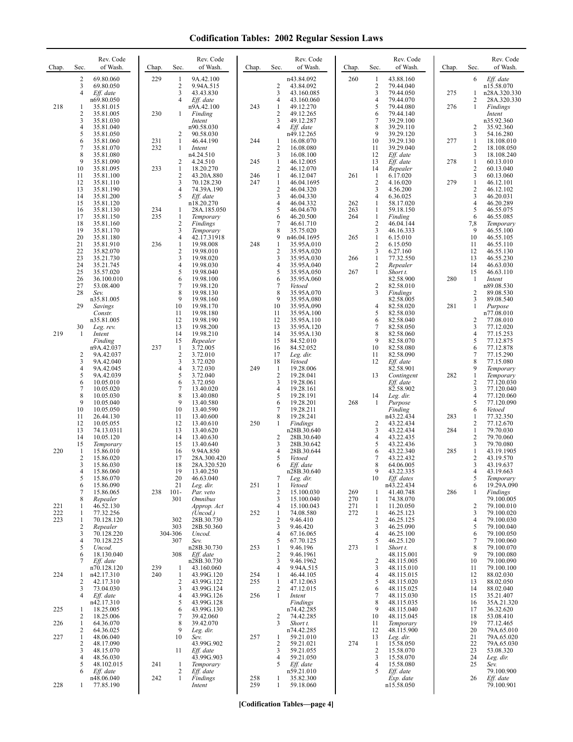| Chap.      | Sec.                | Rev. Code<br>of Wash.    | Chap.      | Sec.                           | Rev. Code<br>of Wash.                | Chap.      | Sec.                         | Rev. Code<br>of Wash.     | Chap.      | Sec.                             | Rev. Code<br>of Wash.    | Chap. | Sec.                       | Rev. Code<br>of Wash.       |
|------------|---------------------|--------------------------|------------|--------------------------------|--------------------------------------|------------|------------------------------|---------------------------|------------|----------------------------------|--------------------------|-------|----------------------------|-----------------------------|
|            | 2<br>3              | 69.80.060<br>69.80.050   | 229        | 1<br>$\sqrt{2}$                | 9A.42.100<br>9.94A.515               |            | 2                            | n43.84.092<br>43.84.092   | 260        | -1<br>$\sqrt{2}$                 | 43.88.160<br>79.44.040   |       | 6                          | Eff. date<br>n15.58.070     |
|            | 4                   | Eff. date<br>n69.80.050  |            | 3<br>$\overline{4}$            | 43.43.830<br>Eff. date               |            | 3<br>4                       | 43.160.085<br>43.160.060  |            | $\overline{3}$<br>$\overline{4}$ | 79.44.050<br>79.44.070   | 275   | $\mathbf{1}$<br>2          | n28A.320.330<br>28A.320.330 |
| 218        | 1                   | 35.81.015                |            |                                | n9A.42.100                           | 243        | 1                            | 49.12.270                 |            | 5                                | 79.44.080                | 276   | $\mathbf{1}$               | Findings                    |
|            | $\overline{c}$<br>3 | 35.81.005<br>35.81.030   | 230        | $\mathbf{1}$                   | Finding<br>Intent                    |            | 2<br>3                       | 49.12.265<br>49.12.287    |            | 6<br>7                           | 79.44.140<br>39.29.100   |       |                            | Intent<br>n35.92.360        |
|            | 4<br>5              | 35.81.040<br>35.81.050   |            | 2                              | n90.58.030<br>90.58.030              |            | 4                            | Eff. date<br>n49.12.265   |            | 8<br>9                           | 39.29.110<br>39.29.120   |       | $\overline{2}$<br>3        | 35.92.360<br>54.16.280      |
|            | 6<br>$\overline{7}$ | 35.81.060<br>35.81.070   | 231<br>232 | $\mathbf{1}$<br>1              | 46.44.190<br>Intent                  | 244        | 1<br>$\overline{c}$          | 16.08.070<br>16.08.080    |            | 10<br>11                         | 39.29.130<br>39.29.040   | 277   | $\mathbf{1}$<br>2          | 18.108.010<br>18.108.050    |
|            | 8<br>9              | 35.81.080                |            |                                | n4.24.510                            |            | 3                            | 16.08.100                 |            | 12                               | Eff. date                |       | 3                          | 18.108.240                  |
|            | 10                  | 35.81.090<br>35.81.095   | 233        | $\overline{2}$<br>$\mathbf{1}$ | 4.24.510<br>18.20.270                | 245        | 1<br>2                       | 46.12.005<br>46.12.070    |            | 13<br>14                         | Eff. date<br>Repealer    | 278   | $\mathbf{1}$<br>2          | 60.13.010<br>60.13.040      |
|            | 11<br>12            | 35.81.100<br>35.81.110   |            | $\overline{2}$<br>3            | 43.20A.880<br>70.128.230             | 246<br>247 | $\mathbf{1}$<br>$\mathbf{1}$ | 46.12.047<br>46.04.1695   | 261        | $\mathbf{1}$<br>$\sqrt{2}$       | 6.17.020<br>4.16.020     | 279   | 3<br>$\mathbf{1}$          | 60.13.060<br>46.12.101      |
|            | 13<br>14            | 35.81.190<br>35.81.200   |            | $\overline{4}$<br>5            | 74.39A.190<br>Eff. date              |            | 2<br>3                       | 46.04.320<br>46.04.330    |            | 3<br>$\overline{4}$              | 4.56.200<br>6.36.025     |       | 2<br>3                     | 46.12.102<br>46.20.031      |
|            | 15<br>16            | 35.81.120<br>35.81.130   | 234        | 1                              | n18.20.270<br>28A.185.050            |            | 4<br>5                       | 46.04.332<br>46.04.670    | 262<br>263 | $\mathbf{1}$<br>$\mathbf{1}$     | 58.17.020<br>59.18.150   |       | $\overline{4}$<br>5        | 46.20.289<br>46.55.075      |
|            | 17                  | 35.81.150                | 235        | $\mathbf{1}$                   | Temporary                            |            | 6                            | 46.20.500                 | 264        | $\mathbf{1}$                     | Finding                  |       | 6                          | 46.55.085                   |
|            | 18<br>19            | 35.81.160<br>35.81.170   |            | $\sqrt{2}$<br>3                | Findings<br>Temporary                |            | 7<br>8                       | 46.61.710<br>35.75.020    |            | $\overline{2}$<br>3              | 46.04.144<br>46.16.333   |       | 7,8<br>9                   | Temporary<br>46.55.100      |
|            | 20<br>21            | 35.81.180<br>35.81.910   | 236        | $\overline{4}$<br>$\mathbf{1}$ | 42.17.31918<br>19.98.008             | 248        | 9<br>$\mathbf{1}$            | n46.04.1695<br>35.95A.010 | 265        | $\mathbf{1}$<br>$\overline{2}$   | 6.15.010<br>6.15.050     |       | 10<br>11                   | 46.55.105<br>46.55.110      |
|            | 22<br>23            | 35.82.070<br>35.21.730   |            | 2<br>3                         | 19.98.010<br>19.98.020               |            | 2<br>3                       | 35.95A.020<br>35.95A.030  | 266        | 3<br>$\mathbf{1}$                | 6.27.160<br>77.32.550    |       | 12<br>13                   | 46.55.130<br>46.55.230      |
|            | 24<br>25            | 35.21.745<br>35.57.020   |            | 4<br>5                         | 19.98.030<br>19.98.040               |            | 4<br>5                       | 35.95A.040<br>35.95A.050  | 267        | 2<br>$\mathbf{1}$                | Repealer<br>Short t.     |       | 14<br>15                   | 46.63.030<br>46.63.110      |
|            | 26                  | 36.100.010               |            | 6                              | 19.98.100                            |            | 6                            | 35.95A.060                |            |                                  | 82.58.900                | 280   | 1                          | Intent                      |
|            | 27<br>28            | 53.08.400<br>Sev.        |            | 7<br>8                         | 19.98.120<br>19.98.130               |            | 7<br>8                       | Vetoed<br>35.95A.070      |            | $\sqrt{2}$<br>$\overline{3}$     | 82.58.010<br>Findings    |       | 2                          | n89.08.530<br>89.08.530     |
|            | 29                  | n35.81.005<br>Savings    |            | 9<br>10                        | 19.98.160<br>19.98.170               |            | 9<br>10                      | 35.95A.080<br>35.95A.090  |            | $\overline{4}$                   | 82.58.005<br>82.58.020   | 281   | 3<br>$\mathbf{1}$          | 89.08.540<br>Purpose        |
|            |                     | Constr.<br>n35.81.005    |            | 11<br>12                       | 19.98.180<br>19.98.190               |            | 11<br>12                     | 35.95A.100<br>35.95A.110  |            | 5<br>6                           | 82.58.030<br>82.58.040   |       | 2                          | n77.08.010<br>77.08.010     |
| 219        | 30<br>$\mathbf{1}$  | Leg. rev.<br>Intent      |            | 13<br>14                       | 19.98.200<br>19.98.210               |            | 13<br>14                     | 35.95A.120<br>35.95A.130  |            | 7<br>8                           | 82.58.050<br>82.58.060   |       | 3<br>4                     | 77.12.020<br>77.15.253      |
|            |                     | Finding                  |            | 15                             | Repealer                             |            | 15                           | 84.52.010                 |            | 9                                | 82.58.070                |       | 5                          | 77.12.875                   |
|            | 2                   | n9A.42.037<br>9A.42.037  | 237        | $\mathbf{1}$<br>$\overline{2}$ | 3.72.005<br>3.72.010                 |            | 16<br>17                     | 84.52.052<br>Leg. dir.    |            | 10<br>11                         | 82.58.080<br>82.58.090   |       | 6<br>$\tau$                | 77.12.878<br>77.15.290      |
|            | 3<br>4              | 9A.42.040<br>9A.42.045   |            | 3<br>$\overline{4}$            | 3.72.020<br>3.72.030                 | 249        | 18<br>-1                     | Vetoed<br>19.28.006       |            | 12                               | Eff. date<br>82.58.901   |       | 8<br>9                     | 77.15.080<br>Temporary      |
|            | 5<br>6              | 9A.42.039<br>10.05.010   |            | 5<br>6                         | 3.72.040<br>3.72.050                 |            | $\overline{2}$<br>3          | 19.28.041<br>19.28.061    |            | 13                               | Contingent<br>Eff. date  | 282   | $\mathbf{1}$<br>2          | Temporary<br>77.120.030     |
|            | 7<br>8              | 10.05.020<br>10.05.030   |            | 7<br>8                         | 13.40.020<br>13.40.080               |            | 4<br>5                       | 19.28.161<br>19.28.191    |            | 14                               | 82.58.902<br>Leg. dir.   |       | 3<br>4                     | 77.120.040<br>77.120.060    |
|            | 9                   | 10.05.040                |            | 9<br>10                        | 13.40.580                            |            | 6                            | 19.28.201                 | 268        | -1                               | Purpose                  |       | 5                          | 77.120.090                  |
|            | 10<br>11            | 10.05.050<br>26.44.130   |            | 11                             | 13.40.590<br>13.40.600               |            | 7<br>8                       | 19.28.211<br>19.28.241    |            |                                  | Finding<br>n43.22.434    | 283   | 6<br>1                     | Vetoed<br>77.32.350         |
|            | 12<br>13            | 10.05.055<br>74.13.0311  |            | 12<br>13                       | 13.40.610<br>13.40.620               | 250        | $\mathbf{1}$                 | Findings<br>n28B.30.640   |            | $\overline{2}$<br>3              | 43.22.434<br>43.22.434   | 284   | $\sqrt{2}$<br>$\mathbf{1}$ | 77.12.670<br>79.70.030      |
|            | 14<br>15            | 10.05.120<br>Temporary   |            | 14<br>15                       | 13.40.630<br>13.40.640               |            | $\overline{c}$<br>3          | 28B.30.640<br>28B.30.642  |            | 4<br>5                           | 43.22.435<br>43.22.436   |       | $\overline{c}$<br>3        | 79.70.060<br>79.70.080      |
| 220        | 1<br>$\overline{2}$ | 15.86.010<br>15.86.020   |            | 16<br>17                       | 9.94A.850<br>28A.300.420             |            | 4<br>5                       | 28B.30.644<br>Vetoed      |            | 6<br>7                           | 43.22.340<br>43.22.432   | 285   | $\mathbf{1}$<br>2          | 43.19.1905<br>43.19.570     |
|            | 3                   | 15.86.030                |            | 18<br>19                       | 28A.320.520                          |            | 6                            | Eff. date                 |            | 8<br>9                           | 64.06.005                |       | 3<br>4                     | 43.19.637                   |
|            | 4<br>5              | 15.86.060<br>15.86.070   |            | 20                             | 13.40.250<br>46.63.040               |            | 7                            | n28B.30.640<br>Leg. dir.  |            | 10                               | 43.22.335<br>Eff. dates  |       | 5                          | 43.19.003<br>Temporary      |
|            | 6<br>7              | 15.86.090<br>15.86.065   | 238        | 21<br>$101 -$                  | Leg. dir.<br>Par. veto               | 251        | 1<br>2                       | Vetoed<br>15.100.030      | 269        | -1                               | n43.22.434<br>41.40.748  | 286   | 6<br>1                     | 19.29A.090<br>Findings      |
| 221        | 8<br>1              | Repealer<br>46.52.130    |            | 301                            | <i><b>Omnibus</b></i><br>Approp. Act |            | 3<br>4                       | 15.100.040<br>15.100.043  | 270<br>271 | -1<br>-1                         | 74.38.070<br>11.20.050   |       | 2                          | 79.100.005<br>79.100.010    |
| 222<br>223 | 1<br>1              | 77.32.256<br>70.128.120  |            | 302                            | (Uncod.)<br>28B.30.730               | 252        | $\mathbf{1}$<br>2            | 74.08.580<br>9.46.410     | 272        | -1<br>2                          | 46.25.123<br>46.25.125   |       | 3<br>$\overline{4}$        | 79.100.020<br>79.100.030    |
|            | $\overline{c}$<br>3 | Repealer<br>70.128.220   |            | 303<br>304-306                 | 28B.50.360<br>Uncod.                 |            | 3<br>4                       | 9.46.420<br>67.16.065     |            | 3<br>$\overline{4}$              | 46.25.090<br>46.25.100   |       | 5<br>6                     | 79.100.040<br>79.100.050    |
|            | 4                   | 70.128.225               |            | 307                            | Sev.                                 |            | 5                            | 67.70.125                 |            | 5                                | 46.25.120                |       | $\tau$                     | 79.100.060                  |
|            | 5<br>6              | Uncod.<br>18.130.040     |            | 308                            | n28B.30.730<br>Eff. date             | 253        | 1<br>2                       | 9.46.196<br>9.46.1961     | 273        | -1                               | Short t.<br>48.115.001   |       | 8<br>9                     | 79.100.070<br>79.100.080    |
|            | 7                   | Eff. date<br>n70.128.120 | 239        | -1                             | n28B.30.730<br>43.160.060            |            | 3<br>4                       | 9.46.1962<br>9.94A.515    |            | $\overline{2}$<br>3              | 48.115.005<br>48.115.010 |       | 10<br>11                   | 79.100.090<br>79.100.100    |
| 224        | 1<br>2              | n42.17.310<br>42.17.310  | 240        | -1<br>$\overline{2}$           | 43.99G.120<br>43.99G.122             | 254<br>255 | 1<br>$\mathbf{1}$            | 46.44.105<br>47.12.063    |            | $\overline{4}$<br>5              | 48.115.015<br>48.115.020 |       | 12<br>13                   | 88.02.030<br>88.02.050      |
|            | 3<br>4              | 73.04.030<br>Eff. date   |            | 3<br>$\overline{4}$            | 43.99G.124<br>43.99G.126             | 256        | 2<br>$\mathbf{1}$            | 47.12.015<br>Intent       |            | 6<br>$\overline{7}$              | 48.115.025<br>48.115.030 |       | 14<br>15                   | 88.02.040<br>35.21.407      |
|            |                     | n42.17.310               |            | 5                              | 43.99G.128                           |            |                              | Findings                  |            | 8<br>9                           | 48.115.035               |       | 16                         | 35A.21.320                  |
| 225        | 1<br>2              | 18.25.005<br>18.25.006   |            | 6<br>7                         | 43.99G.130<br>39.42.060              |            | 2                            | n74.42.285<br>74.42.285   |            | 10                               | 48.115.040<br>48.115.045 |       | 17<br>18                   | 36.32.620<br>53.08.410      |
| 226        | 1<br>2              | 64.36.070<br>64.36.025   |            | $\,$ 8 $\,$<br>9               | 39.42.070<br>Leg. dir.               |            | 3                            | Short t.<br>n74.42.285    |            | 11<br>12                         | Temporary<br>48.115.900  |       | 19<br>20                   | 77.12.465<br>79A.65.010     |
| 227        | 1<br>$\overline{c}$ | 48.06.040<br>48.17.090   |            | 10                             | Sev.<br>43.99G.902                   | 257        | 1<br>2                       | 59.21.010<br>59.21.021    | 274        | 13<br>$\mathbf{1}$               | Leg. dir.<br>15.58.050   |       | 21<br>22                   | 79A.65.020<br>79A.65.030    |
|            | 3<br>4              | 48.15.070<br>48.56.030   |            | 11                             | Eff. date<br>43.99G.903              |            | 3<br>4                       | 59.21.055<br>59.21.050    |            | 2<br>3                           | 15.58.070<br>15.58.070   |       | 23<br>24                   | 53.08.320<br>Leg. dir.      |
|            | 5<br>6              | 48.102.015               | 241        | 1                              | Temporary                            |            | 5                            | Eff. date                 |            | $\overline{4}$<br>5              | 15.58.080                |       | 25                         | Sev.                        |
|            |                     | Eff. date<br>n48.06.040  | 242        | $\overline{2}$<br>$\mathbf{1}$ | Eff. date<br>Findings                | 258        | 1                            | n59.21.010<br>35.82.300   |            |                                  | Eff. date<br>Exp. date   |       | 26                         | 79.100.900<br>Eff. date     |
| 228        | 1                   | 77.85.190                |            |                                | Intent                               | 259        | $\mathbf{1}$                 | 59.18.060                 |            |                                  | n15.58.050               |       |                            | 79.100.901                  |

**[Codification Tables—page 4]**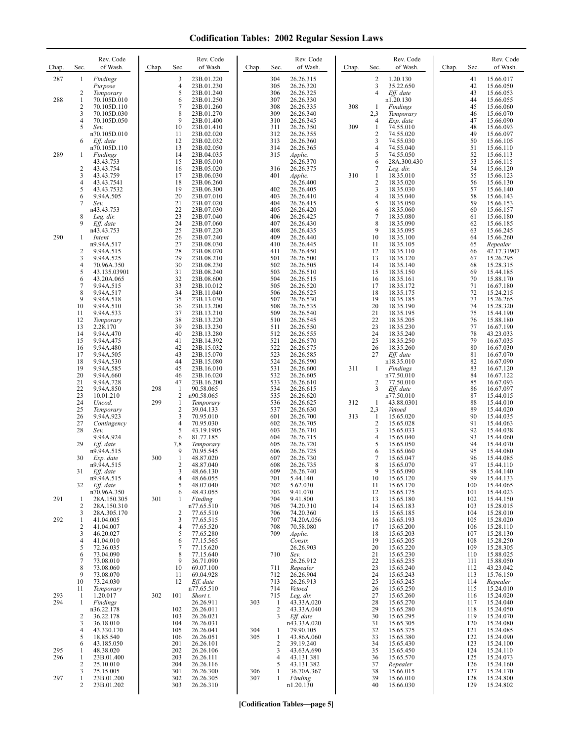| Chap.      | Sec.                  | Rev. Code<br>of Wash.      | Chap. | Sec.                           | Rev. Code<br>of Wash.    | Chap.      | Sec.              | Rev. Code<br>of Wash.    | Chap. | Sec.                         | Rev. Code<br>of Wash.    | Chap. | Sec.       | Rev. Code<br>of Wash.    |
|------------|-----------------------|----------------------------|-------|--------------------------------|--------------------------|------------|-------------------|--------------------------|-------|------------------------------|--------------------------|-------|------------|--------------------------|
| 287        | 1                     | Findings<br>Purpose        |       | 3<br>$\overline{4}$            | 23B.01.220<br>23B.01.230 |            | 304<br>305        | 26.26.315<br>26.26.320   |       | 2<br>3                       | 1.20.130<br>35.22.650    |       | 41<br>42   | 15.66.017<br>15.66.050   |
|            | 2                     | Temporary                  |       | 5                              | 23B.01.240               |            | 306               | 26.26.325                |       | $\overline{4}$               | Eff. date                |       | 43         | 15.66.053                |
| 288        | 1<br>$\overline{2}$   | 70.105D.010<br>70.105D.110 |       | 6<br>7                         | 23B.01.250<br>23B.01.260 |            | 307<br>308        | 26.26.330<br>26.26.335   | 308   | 1                            | n1.20.130<br>Findings    |       | 44<br>45   | 15.66.055<br>15.66.060   |
|            | 3                     | 70.105D.030                |       | 8                              | 23B.01.270               |            | 309               | 26.26.340                |       | 2,3                          | Temporary                |       | 46         | 15.66.070                |
|            | $\overline{4}$<br>5   | 70.105D.050<br>Sev.        |       | 9<br>10                        | 23B.01.400<br>23B.01.410 |            | 310<br>311        | 26.26.345<br>26.26.350   | 309   | $\overline{4}$<br>1          | Exp. date<br>74.55.010   |       | 47<br>48   | 15.66.090<br>15.66.093   |
|            |                       | n70.105D.010               |       | 11                             | 23B.02.020               |            | 312               | 26.26.355                |       | $\overline{c}$               | 74.55.020                |       | 49         | 15.66.097                |
|            | 6                     | Eff. date<br>n70.105D.110  |       | 12<br>13                       | 23B.02.032<br>23B.02.050 |            | 313<br>314        | 26.26.360<br>26.26.365   |       | 3<br>4                       | 74.55.030<br>74.55.040   |       | 50<br>51   | 15.66.105<br>15.66.110   |
| 289        | 1                     | Findings<br>43.43.753      |       | 14<br>15                       | 23B.04.035<br>23B.05.010 |            | 315               | Applic.<br>26.26.370     |       | 5<br>6                       | 74.55.050<br>28A.300.430 |       | 52<br>53   | 15.66.113<br>15.66.115   |
|            | $\overline{c}$        | 43.43.754                  |       | 16                             | 23B.05.020               |            | 316               | 26.26.375                |       | 7                            | Leg. dir.                |       | 54         | 15.66.120                |
|            | 3<br>$\overline{4}$   | 43.43.759<br>43.43.7541    |       | 17<br>18                       | 23B.06.030<br>23B.06.260 |            | 401               | Applic.<br>26.26.400     | 310   | 1<br>$\overline{\mathbf{c}}$ | 18.35.010<br>18.35.020   |       | 55<br>56   | 15.66.123<br>15.66.130   |
|            | 5                     | 43.43.7532                 |       | 19                             | 23B.06.300               |            | 402               | 26.26.405                |       | 3                            | 18.35.030                |       | 57         | 15.66.140                |
|            | 6<br>7                | 9.94A.505<br>Sev.          |       | 20<br>21                       | 23B.07.010<br>23B.07.020 |            | 403<br>404        | 26.26.410<br>26.26.415   |       | $\overline{4}$<br>5          | 18.35.040<br>18.35.050   |       | 58<br>59   | 15.66.143<br>15.66.153   |
|            | 8                     | n43.43.753                 |       | 22<br>23                       | 23B.07.030<br>23B.07.040 |            | 405<br>406        | 26.26.420<br>26.26.425   |       | 6<br>$\overline{7}$          | 18.35.060                |       | 60<br>61   | 15.66.157<br>15.66.180   |
|            | 9                     | Leg. dir.<br>Eff. date     |       | 24                             | 23B.07.060               |            | 407               | 26.26.430                |       | 8                            | 18.35.080<br>18.35.090   |       | 62         | 15.66.185                |
| 290        | 1                     | n43.43.753<br>Intent       |       | 25<br>26                       | 23B.07.220<br>23B.07.240 |            | 408<br>409        | 26.26.435<br>26.26.440   |       | 9<br>10                      | 18.35.095<br>18.35.100   |       | 63<br>64   | 15.66.245<br>15.66.260   |
|            |                       | n9.94A.517                 |       | 27                             | 23B.08.030               |            | 410               | 26.26.445                |       | 11                           | 18.35.105                |       | 65         | Repealer                 |
|            | $\overline{2}$<br>3   | 9.94A.515<br>9.94A.525     |       | 28<br>29                       | 23B.08.070<br>23B.08.210 |            | 411<br>501        | 26.26.450<br>26.26.500   |       | 12<br>13                     | 18.35.110<br>18.35.120   |       | 66<br>67   | 42.17.31907<br>15.26.295 |
|            | $\overline{4}$<br>5   | 70.96A.350<br>43.135.03901 |       | 30<br>31                       | 23B.08.230<br>23B.08.240 |            | 502<br>503        | 26.26.505<br>26.26.510   |       | 14<br>15                     | 18.35.140<br>18.35.150   |       | 68<br>69   | 15.28.315<br>15.44.185   |
|            | 6                     | 43.20A.065                 |       | 32                             | 23B.08.600               |            | 504               | 26.26.515                |       | 16                           | 18.35.161                |       | 70         | 15.88.170                |
|            | $\sqrt{ }$<br>8       | 9.94A.515<br>9.94A.517     |       | 33<br>34                       | 23B.10.012<br>23B.11.040 |            | 505<br>506        | 26.26.520<br>26.26.525   |       | 17<br>18                     | 18.35.172<br>18.35.175   |       | 71<br>72   | 16.67.180<br>15.24.215   |
|            | 9                     | 9.94A.518                  |       | 35                             | 23B.13.030               |            | 507               | 26.26.530                |       | 19                           | 18.35.185                |       | 73         | 15.26.265                |
|            | 10<br>11              | 9.94A.510<br>9.94A.533     |       | 36<br>37                       | 23B.13.200<br>23B.13.210 |            | 508<br>509        | 26.26.535<br>26.26.540   |       | 20<br>21                     | 18.35.190<br>18.35.195   |       | 74<br>75   | 15.28.320<br>15.44.190   |
|            | 12<br>13              | Temporary<br>2.28.170      |       | 38<br>39                       | 23B.13.220<br>23B.13.230 |            | 510<br>511        | 26.26.545<br>26.26.550   |       | 22<br>23                     | 18.35.205<br>18.35.230   |       | 76<br>77   | 15.88.180<br>16.67.190   |
|            | 14                    | 9.94A.470                  |       | 40                             | 23B.13.280               |            | 512               | 26.26.555                |       | 24                           | 18.35.240                |       | 78         | 43.23.033                |
|            | 15<br>16              | 9.94A.475<br>9.94A.480     |       | 41<br>42                       | 23B.14.392<br>23B.15.032 |            | 521<br>522        | 26.26.570<br>26.26.575   |       | 25<br>26                     | 18.35.250<br>18.35.260   |       | 79<br>80   | 16.67.035<br>16.67.030   |
|            | 17                    | 9.94A.505                  |       | 43                             | 23B.15.070               |            | 523               | 26.26.585                |       | 27                           | Eff. date                |       | 81         | 16.67.070                |
|            | 18<br>19              | 9.94A.530<br>9.94A.585     |       | 44<br>45                       | 23B.15.080<br>23B.16.010 |            | 524<br>531        | 26.26.590<br>26.26.600   | 311   | 1                            | n18.35.010<br>Findings   |       | 82<br>83   | 16.67.090<br>16.67.120   |
|            | 20<br>21              | 9.94A.660<br>9.94A.728     |       | 46<br>47                       | 23B.16.020<br>23B.16.200 |            | 532<br>533        | 26.26.605<br>26.26.610   |       | 2                            | n77.50.010<br>77.50.010  |       | 84<br>85   | 16.67.122<br>16.67.093   |
|            | 22                    | 9.94A.850                  | 298   | $\mathbf{1}$                   | 90.58.065                |            | 534               | 26.26.615                |       | 3                            | Eff. date                |       | 86         | 16.67.097                |
|            | 23<br>24              | 10.01.210<br>Uncod.        | 299   | $\overline{2}$<br>$\mathbf{1}$ | n90.58.065<br>Temporary  |            | 535<br>536        | 26.26.620<br>26.26.625   | 312   | 1                            | n77.50.010<br>43.88.0301 |       | 87<br>88   | 15.44.015<br>15.44.010   |
|            | 25                    | Temporary                  |       | $\sqrt{2}$                     | 39.04.133                |            | 537               | 26.26.630                |       | 2,3                          | Vetoed                   |       | 89         | 15.44.020                |
|            | 26<br>27              | 9.94A.923<br>Contingency   |       | 3<br>$\overline{4}$            | 70.95.010<br>70.95.030   |            | 601<br>602        | 26.26.700<br>26.26.705   | 313   | 1<br>$\overline{c}$          | 15.65.020<br>15.65.028   |       | 90<br>91   | 15.44.035<br>15.44.063   |
|            | 28                    | Sev.<br>9.94A.924          |       | 5<br>6                         | 43.19.1905<br>81.77.185  |            | 603<br>604        | 26.26.710<br>26.26.715   |       | 3<br>4                       | 15.65.033<br>15.65.040   |       | 92<br>93   | 15.44.038<br>15.44.060   |
|            | 29                    | Eff. date                  |       | 7,8                            | Temporary                |            | 605               | 26.26.720                |       | 5                            | 15.65.050                |       | 94         | 15.44.070                |
|            | 30                    | n9.94A.515<br>Exp. date    | 300   | 9<br>$\mathbf{1}$              | 70.95.545<br>48.87.020   |            | 606<br>607        | 26.26.725<br>26.26.730   |       | 6<br>7                       | 15.65.060<br>15.65.047   |       | 95<br>96   | 15.44.080<br>15.44.085   |
|            |                       | n9.94A.515                 |       | 2                              | 48.87.040                |            | 608               | 26.26.735                |       | 8                            | 15.65.070                |       | 97         | 15.44.110                |
|            | 31                    | Eff. date<br>n9.94A.515    |       | 3<br>4                         | 48.66.130<br>48.66.055   |            | 609<br>701        | 26.26.740<br>5.44.140    |       | 9<br>10                      | 15.65.090<br>15.65.120   |       | 98<br>99   | 15.44.140<br>15.44.133   |
|            | 32                    | Eff. date<br>n70.96A.350   |       | 5<br>6                         | 48.07.040<br>48.43.055   |            | 702<br>703        | 5.62.030<br>9.41.070     |       | 11<br>12                     | 15.65.170<br>15.65.175   |       | 100<br>101 | 15.44.065<br>15.44.023   |
| 291        | 1                     | 28A.150.305                | 301   | 1                              | Finding                  |            | 704               | 9.41.800                 |       | 13                           | 15.65.180                |       | 102        | 15.44.150                |
|            | $\overline{2}$<br>3   | 28A.150.310<br>28A.305.170 |       | 2                              | n77.65.510<br>77.65.510  |            | 705<br>706        | 74.20.310<br>74.20.360   |       | 14<br>15                     | 15.65.183<br>15.65.185   |       | 103<br>104 | 15.28.015<br>15.28.010   |
| 292        | 1<br>$\overline{2}$   | 41.04.005<br>41.04.007     |       | 3<br>$\overline{4}$            | 77.65.515<br>77.65.520   |            | 707<br>708        | 74.20A.056<br>70.58.080  |       | 16<br>17                     | 15.65.193<br>15.65.200   |       | 105<br>106 | 15.28.020<br>15.28.110   |
|            | 3                     | 46.20.027                  |       | 5                              | 77.65.280                |            | 709               | Applic.                  |       | 18                           | 15.65.203                |       | 107        | 15.28.130                |
|            | 4<br>5                | 41.04.010<br>72.36.035     |       | 6<br>7                         | 77.15.565<br>77.15.620   |            |                   | Constr.<br>26.26.903     |       | 19<br>20                     | 15.65.205<br>15.65.220   |       | 108<br>109 | 15.28.250<br>15.28.305   |
|            | 6                     | 73.04.090                  |       | 8                              | 77.15.640                |            | 710               | Sev.                     |       | 21                           | 15.65.230                |       | 110        | 15.88.025                |
|            | $\boldsymbol{7}$<br>8 | 73.08.010<br>73.08.060     |       | 9<br>10                        | 36.71.090<br>69.07.100   |            | 711               | 26.26.912<br>Repealer    |       | 22<br>23                     | 15.65.235<br>15.65.240   |       | 111<br>112 | 15.88.050<br>43.23.042   |
|            | 9<br>10               | 73.08.070<br>73.24.030     |       | 11<br>12                       | 69.04.928<br>Eff. date   |            | 712<br>713        | 26.26.904<br>26.26.913   |       | 24<br>25                     | 15.65.243<br>15.65.245   |       | 113<br>114 | 15.76.150<br>Repealer    |
|            | 11                    | Temporary                  |       |                                | n77.65.510               |            | 714               | Vetoed                   |       | 26                           | 15.65.250                |       | 115        | 15.24.010                |
| 293<br>294 | -1<br>1               | 1.20.017<br>Findings       | 302   | 101                            | Short t.<br>26.26.911    | 303        | 715<br>1          | Leg. dir.<br>43.33A.020  |       | 27<br>28                     | 15.65.260<br>15.65.270   |       | 116<br>117 | 15.24.020<br>15.24.040   |
|            |                       | n36.22.178                 |       | 102                            | 26.26.011                |            | $\overline{c}$    | 43.33A.040               |       | 29                           | 15.65.280                |       | 118        | 15.24.050                |
|            | 2<br>3                | 36.22.178<br>36.18.010     |       | 103<br>104                     | 26.26.021<br>26.26.031   |            | 3                 | Eff. date<br>n43.33A.020 |       | 30<br>31                     | 15.65.295<br>15.65.305   |       | 119<br>120 | 15.24.070<br>15.24.080   |
|            | 4<br>5                | 43.330.170<br>18.85.540    |       | 105<br>106                     | 26.26.041<br>26.26.051   | 304<br>305 | 1<br>$\mathbf{1}$ | 79.90.105<br>43.86A.060  |       | 32<br>33                     | 15.65.375<br>15.65.380   |       | 121<br>122 | 15.24.085<br>15.24.090   |
|            | 6                     | 43.185.050                 |       | 201                            | 26.26.101                |            | 2                 | 39.19.240                |       | 34                           | 15.65.430                |       | 123        | 15.24.100                |
| 295<br>296 | 1<br>1                | 48.38.020<br>23B.01.400    |       | 202<br>203                     | 26.26.106<br>26.26.111   |            | 3<br>4            | 43.63A.690<br>43.131.381 |       | 35<br>36                     | 15.65.450<br>15.65.570   |       | 124<br>125 | 15.24.110<br>15.24.073   |
|            | 2                     | 25.10.010                  |       | 204                            | 26.26.116                |            | 5                 | 43.131.382               |       | 37                           | Repealer                 |       | 126        | 15.24.160                |
| 297        | 3<br>1                | 25.15.005<br>23B.01.200    |       | 301<br>302                     | 26.26.300<br>26.26.305   | 306<br>307 | 1<br>$\mathbf{1}$ | 36.70A.367<br>Finding    |       | 38<br>39                     | 15.66.015<br>15.66.010   |       | 127<br>128 | 15.24.170<br>15.24.800   |
|            | 2                     | 23B.01.202                 |       | 303                            | 26.26.310                |            |                   | n1.20.130                |       | 40                           | 15.66.030                |       | 129        | 15.24.802                |

**[Codification Tables—page 5]**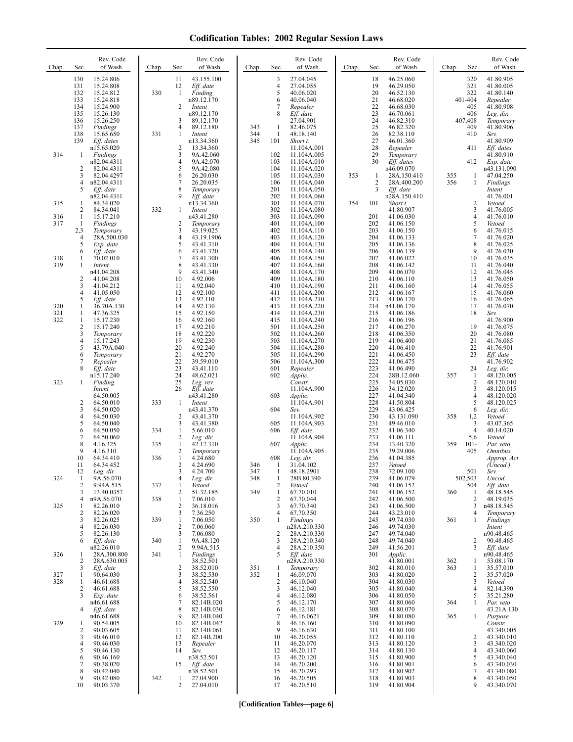| Chap.      | Sec.                                   | Rev. Code<br>of Wash.                                                      | Chap.      | Rev. Code<br>of Wash.<br>Sec.                                                                             | Chap.             | Sec.                                     | Rev. Code<br>of Wash.                                                         | Chap. | Sec.                             | Rev. Code<br>of Wash.                                                      | Chap.      | Sec.                                       | Rev. Code<br>of Wash.                                                     |
|------------|----------------------------------------|----------------------------------------------------------------------------|------------|-----------------------------------------------------------------------------------------------------------|-------------------|------------------------------------------|-------------------------------------------------------------------------------|-------|----------------------------------|----------------------------------------------------------------------------|------------|--------------------------------------------|---------------------------------------------------------------------------|
|            | 130<br>131<br>132<br>133<br>134<br>135 | 15.24.806<br>15.24.808<br>15.24.812<br>15.24.818<br>15.24.900<br>15.26.130 | 330        | 11<br>43.155.100<br>12<br>Eff. date<br>$\mathbf{1}$<br>Finding<br>n89.12.170<br>2<br>Intent<br>n89.12.170 |                   | 3<br>4<br>5<br>6<br>7<br>8               | 27.04.045<br>27.04.055<br>40.06.020<br>40.06.040<br>Repealer<br>Eff. date     |       | 18<br>19<br>20<br>21<br>22<br>23 | 46.25.060<br>46.29.050<br>46.52.130<br>46.68.020<br>46.68.030<br>46.70.061 |            | 320<br>321<br>322<br>401-404<br>405<br>406 | 41.80.905<br>41.80.005<br>41.80.140<br>Repealer<br>41.80.908<br>Leg. dir. |
| 314        | 136<br>137<br>138<br>139<br>1          | 15.26.250<br>Findings<br>15.65.650<br>Eff. dates<br>n15.65.020<br>Findings | 331        | 3<br>89.12.170<br>4<br>89.12.180<br>1<br>Intent<br>n13.34.360<br>2<br>13.34.360<br>3<br>9A.42.060         | 343<br>344<br>345 | 1<br>1<br>101<br>102                     | 27.04.901<br>82.46.075<br>48.18.140<br>Short t.<br>11.104A.001<br>11.104A.005 |       | 24<br>25<br>26<br>27<br>28<br>29 | 46.82.310<br>46.82.320<br>82.38.110<br>46.01.360<br>Repealer<br>Temporary  |            | 407,408<br>409<br>410<br>411               | Temporary<br>41.80.906<br>Sev.<br>41.80.909<br>Eff. dates<br>41.80.910    |
|            | 2<br>3<br>4<br>5                       | n82.04.4311<br>82.04.4311<br>82.04.4297<br>n82.04.4311<br>Eff. date        |            | 4<br>9A.42.070<br>5<br>9A.42.080<br>6<br>26.20.030<br>7<br>26.20.035<br>8<br>Temporary                    |                   | 103<br>104<br>105<br>106<br>201          | 11.104A.010<br>11.104A.020<br>11.104A.030<br>11.104A.040<br>11.104A.050       | 353   | 30<br>1<br>$\overline{c}$<br>3   | Eff. dates<br>n46.09.070<br>28A.150.410<br>28A.400.200<br>Eff. date        | 355<br>356 | 412<br>1<br>1                              | Exp. date<br>n43.131.090<br>47.04.250<br>Findings<br>Intent               |
| 315        | 1<br>$\overline{c}$                    | n82.04.4311<br>84.34.020<br>84.34.041                                      | 332        | Eff. date<br>9<br>n13.34.360<br>1<br>Intent                                                               |                   | 202<br>301<br>302                        | 11.104A.060<br>11.104A.070<br>11.104A.080                                     | 354   | 101                              | n28A.150.410<br>Short t.<br>41.80.907                                      |            | 2<br>3                                     | 41.76.001<br>Vetoed<br>41.76.005                                          |
| 316<br>317 | 1<br>1<br>2,3<br>4                     | 15.17.210<br>Findings<br>Temporary<br>28A.500.030                          |            | n43.41.280<br>2<br>Temporary<br>3<br>43.19.025<br>4<br>43.19.1906                                         |                   | 303<br>401<br>402<br>403                 | 11.104A.090<br>11.104A.100<br>11.104A.110<br>11.104A.120                      |       | 201<br>202<br>203<br>204         | 41.06.030<br>41.06.150<br>41.06.150<br>41.06.133                           |            | 4<br>5<br>6<br>7                           | 41.76.010<br>Vetoed<br>41.76.015<br>41.76.020                             |
| 318<br>319 | 5<br>6<br>1<br>1                       | Exp. date<br>Eff. date<br>70.02.010<br>Intent<br>n41.04.208                |            | 5<br>43.41.310<br>6<br>43.41.320<br>7<br>43.41.300<br>8<br>43.41.330<br>9<br>43.41.340                    |                   | 404<br>405<br>406<br>407<br>408          | 11.104A.130<br>11.104A.140<br>11.104A.150<br>11.104A.160<br>11.104A.170       |       | 205<br>206<br>207<br>208<br>209  | 41.06.136<br>41.06.139<br>41.06.022<br>41.06.142<br>41.06.070              |            | 8<br>9<br>10<br>11<br>12                   | 41.76.025<br>41.76.030<br>41.76.035<br>41.76.040<br>41.76.045             |
| 320        | 2<br>3<br>4<br>5<br>1                  | 41.04.208<br>41.04.212<br>41.05.050<br>Eff. date<br>36.70A.130             |            | 10<br>4.92.006<br>4.92.040<br>11<br>4.92.100<br>12<br>13<br>4.92.110<br>14<br>4.92.130                    |                   | 409<br>410<br>411<br>412<br>413          | 11.104A.180<br>11.104A.190<br>11.104A.200<br>11.104A.210<br>11.104A.220       |       | 210<br>211<br>212<br>213<br>214  | 41.06.110<br>41.06.160<br>41.06.167<br>41.06.170<br>n41.06.170             |            | 13<br>14<br>15<br>16<br>17                 | 41.76.050<br>41.76.055<br>41.76.060<br>41.76.065<br>41.76.070             |
| 321<br>322 | 1<br>1<br>$\overline{2}$<br>3          | 47.36.325<br>15.17.230<br>15.17.240<br>Temporary                           |            | 15<br>4.92.150<br>4.92.160<br>16<br>17<br>4.92.210<br>18<br>4.92.220                                      |                   | 414<br>415<br>501<br>502                 | 11.104A.230<br>11.104A.240<br>11.104A.250<br>11.104A.260                      |       | 215<br>216<br>217<br>218         | 41.06.186<br>41.06.196<br>41.06.270<br>41.06.350                           |            | 18<br>19<br>20                             | Sev.<br>41.76.900<br>41.76.075<br>41.76.080                               |
|            | 4<br>5<br>6<br>7<br>8                  | 15.17.243<br>43.79A.040<br>Temporary<br>Repealer<br>Eff. date              |            | 19<br>4.92.230<br>20<br>4.92.240<br>21<br>4.92.270<br>22<br>39.59.010<br>23<br>43.41.110                  |                   | 503<br>504<br>505<br>506<br>601          | 11.104A.270<br>11.104A.280<br>11.104A.290<br>11.104A.300<br>Repealer          |       | 219<br>220<br>221<br>222<br>223  | 41.06.400<br>41.06.410<br>41.06.450<br>41.06.475<br>41.06.490              |            | 21<br>22<br>23<br>24                       | 41.76.085<br>41.76.901<br>Eff. date<br>41.76.902<br>Leg. dir.             |
| 323        | 1<br>$\overline{c}$                    | n15.17.240<br>Finding<br>Intent<br>64.50.005                               | 333        | 24<br>48.62.021<br>25<br>Leg. rev.<br>26<br>Eff. date<br>n43.41.280<br>1<br>Intent                        |                   | 602<br>603                               | Applic.<br>Constr.<br>11.104A.900<br>Applic.<br>11.104A.901                   |       | 224<br>225<br>226<br>227<br>228  | 28B.12.060<br>34.05.030<br>34.12.020<br>41.04.340                          | 357        | 1<br>2<br>3<br>4<br>5                      | 48.120.005<br>48.120.010<br>48.120.015<br>48.120.020                      |
|            | 3<br>4<br>5<br>6                       | 64.50.010<br>64.50.020<br>64.50.030<br>64.50.040<br>64.50.050              | 334        | n43.41.370<br>2<br>43.41.370<br>3<br>43.41.380<br>$\mathbf{1}$<br>5.66.010                                |                   | 604<br>605<br>606                        | Sev.<br>11.104A.902<br>11.104A.903<br>Eff. date                               |       | 229<br>230<br>231<br>232         | 41.50.804<br>43.06.425<br>43.131.090<br>49.46.010<br>41.06.340             | 358        | 6<br>1,2<br>3<br>$\overline{4}$            | 48.120.025<br>Leg. dir.<br>Vetoed<br>43.07.365<br>40.14.020               |
|            | 7<br>8<br>9<br>10                      | 64.50.060<br>4.16.325<br>4.16.310<br>64.34.410                             | 335<br>336 | 2<br>Leg. dir.<br>$\mathbf{1}$<br>42.17.310<br>2<br>Temporary<br>$\mathbf{1}$<br>4.24.680                 |                   | 607<br>608                               | 11.104A.904<br>Applic.<br>11.104A.905<br>Leg. dir.                            |       | 233<br>234<br>235<br>236         | 41.06.111<br>13.40.320<br>39.29.006<br>41.04.385                           | 359        | 5,6<br>$101 -$<br>405                      | Vetoed<br>Par. veto<br><b>Omnibus</b><br>Approp. Act                      |
| 324        | 11<br>12<br>-1                         | 64.34.452<br>Leg. dir.<br>9A.56.070                                        |            | 2<br>4.24.690<br>3<br>4.24.700<br>4<br>Leg. dir.                                                          | 346<br>347<br>348 | -1<br>-1<br>$\mathbf{1}$                 | 31.04.102<br>48.18.2901<br>28B.80.390                                         |       | 237<br>238<br>239                | Vetoed<br>72.09.100<br>41.06.079                                           |            | 501<br>502,503                             | (Uncod.)<br>Sev.<br>Uncod.                                                |
|            | 2<br>3<br>4                            | 9.94A.515<br>13.40.0357<br>n9A.56.070                                      | 337<br>338 | $\mathbf{1}$<br>Vetoed<br>2<br>51.32.185<br>$\mathbf{1}$<br>7.06.010                                      | 349               | 2<br>$\mathbf{1}$<br>$\overline{c}$      | Vetoed<br>67.70.010<br>67.70.044                                              |       | 240<br>241<br>242                | 41.06.152<br>41.06.152<br>41.06.500                                        | 360        | 504<br>1<br>2                              | Eff. date<br>48.18.545<br>48.19.035                                       |
| 325        | 1<br>2<br>3<br>4                       | 82.26.010<br>82.26.020<br>82.26.025<br>82.26.030                           | 339        | 2<br>36.18.016<br>3<br>7.36.250<br>$\mathbf{1}$<br>7.06.050<br>2<br>7.06.060                              | 350               | 3<br>4<br>1                              | 67.70.340<br>67.70.350<br>Findings<br>n28A.210.330                            |       | 243<br>244<br>245<br>246         | 41.06.500<br>43.23.010<br>49.74.030<br>49.74.030                           | 361        | 3<br>4<br>1                                | n48.18.545<br>Temporary<br>Findings<br>Intent                             |
|            | 5<br>6                                 | 82.26.130<br>Eff. date<br>n82.26.010                                       | 340        | 3<br>7.06.080<br>1<br>9A.48.120<br>2<br>9.94A.515                                                         |                   | 2<br>3<br>4                              | 28A.210.330<br>28A.210.340<br>28A.210.350                                     |       | 247<br>248<br>249                | 49.74.040<br>49.74.040<br>41.56.201                                        |            | 2<br>3                                     | n90.48.465<br>90.48.465<br>Eff. date                                      |
| 326        | 1<br>2                                 | 28A.300.800<br>28A.630.005                                                 | 341        | $\mathbf{1}$<br>Findings<br>38.52.501                                                                     |                   | 5                                        | Eff. date<br>n28A.210.330                                                     |       | 301                              | Applic.<br>41.80.001                                                       | 362        | 1                                          | n90.48.465<br>53.08.170                                                   |
| 327<br>328 | 3<br>1<br>1<br>2                       | Eff. date<br>90.64.030<br>46.61.688<br>46.61.688                           |            | 38.52.010<br>2<br>3<br>38.52.530<br>4<br>38.52.540<br>5<br>38.52.550                                      | 351<br>352        | 1<br>$\mathbf{1}$<br>$\overline{c}$<br>3 | Temporary<br>46.09.070<br>46.10.040<br>46.12.040                              |       | 302<br>303<br>304<br>305         | 41.80.010<br>41.80.020<br>41.80.030<br>41.80.040                           | 363        | 1<br>2<br>3<br>4                           | 35.57.010<br>35.57.020<br>Vetoed<br>82.14.390                             |
|            | 3<br>4                                 | Exp. date<br>n46.61.688<br>Eff. date                                       |            | 38.52.561<br>6<br>7<br>82.14B.020<br>8<br>82.14B.030                                                      |                   | 4<br>5<br>6                              | 46.12.080<br>46.12.170<br>46.12.181                                           |       | 306<br>307<br>308                | 41.80.050<br>41.80.060<br>41.80.070                                        | 364        | 5<br>1                                     | 35.21.280<br>Par. veto<br>43.21A.130                                      |
| 329        | 1<br>2<br>3                            | n46.61.688<br>90.54.005<br>90.03.605<br>90.46.010                          |            | 9<br>82.14B.040<br>10<br>82.14B.042<br>11<br>82.14B.061<br>82.14B.200<br>12                               |                   | 7<br>8<br>9<br>10                        | 46.16.0621<br>46.16.160<br>46.16.630<br>46.20.055                             |       | 309<br>310<br>311<br>312         | 41.80.080<br>41.80.090<br>41.80.100<br>41.80.110                           | 365        | $\mathbf{1}$<br>2                          | Purpose<br>Constr.<br>43.340.005<br>43.340.010                            |
|            | 4<br>5<br>6<br>7                       | 90.46.030<br>90.46.130<br>90.46.160<br>90.38.020                           |            | 13<br>Repealer<br>14<br>Sev.<br>n38.52.501<br>15<br>Eff. date                                             |                   | 11<br>12<br>13<br>14                     | 46.20.070<br>46.20.117<br>46.20.120<br>46.20.200                              |       | 313<br>314<br>315<br>316         | 41.80.120<br>41.80.130<br>41.80.900<br>41.80.901                           |            | 3<br>4<br>5<br>6                           | 43.340.020<br>43.340.060<br>43.340.040<br>43.340.030                      |
|            | 8<br>9<br>10                           | 90.42.040<br>90.42.080<br>90.03.370                                        | 342        | n38.52.501<br>27.04.900<br>1<br>2<br>27.04.010                                                            |                   | 15<br>16<br>17                           | 46.20.293<br>46.20.505<br>46.20.510                                           |       | 317<br>318<br>319                | 41.80.902<br>41.80.903<br>41.80.904                                        |            | 7<br>8<br>9                                | 43.340.080<br>43.340.050<br>43.340.070                                    |

**[Codification Tables—page 6]**